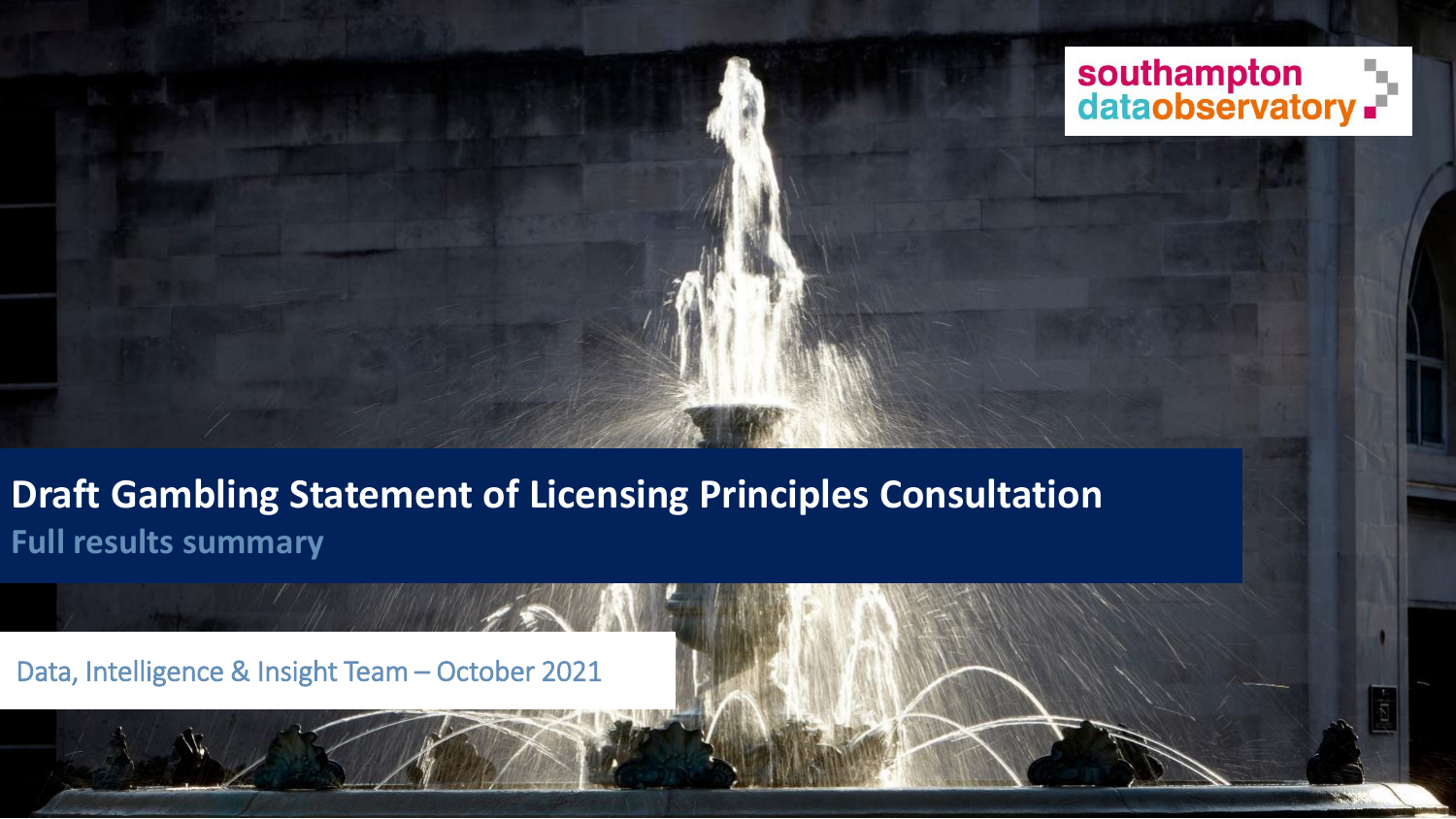

**Draft Gambling Statement of Licensing Principles Consultation Full results summary**

Data, Intelligence & Insight Team – October 2021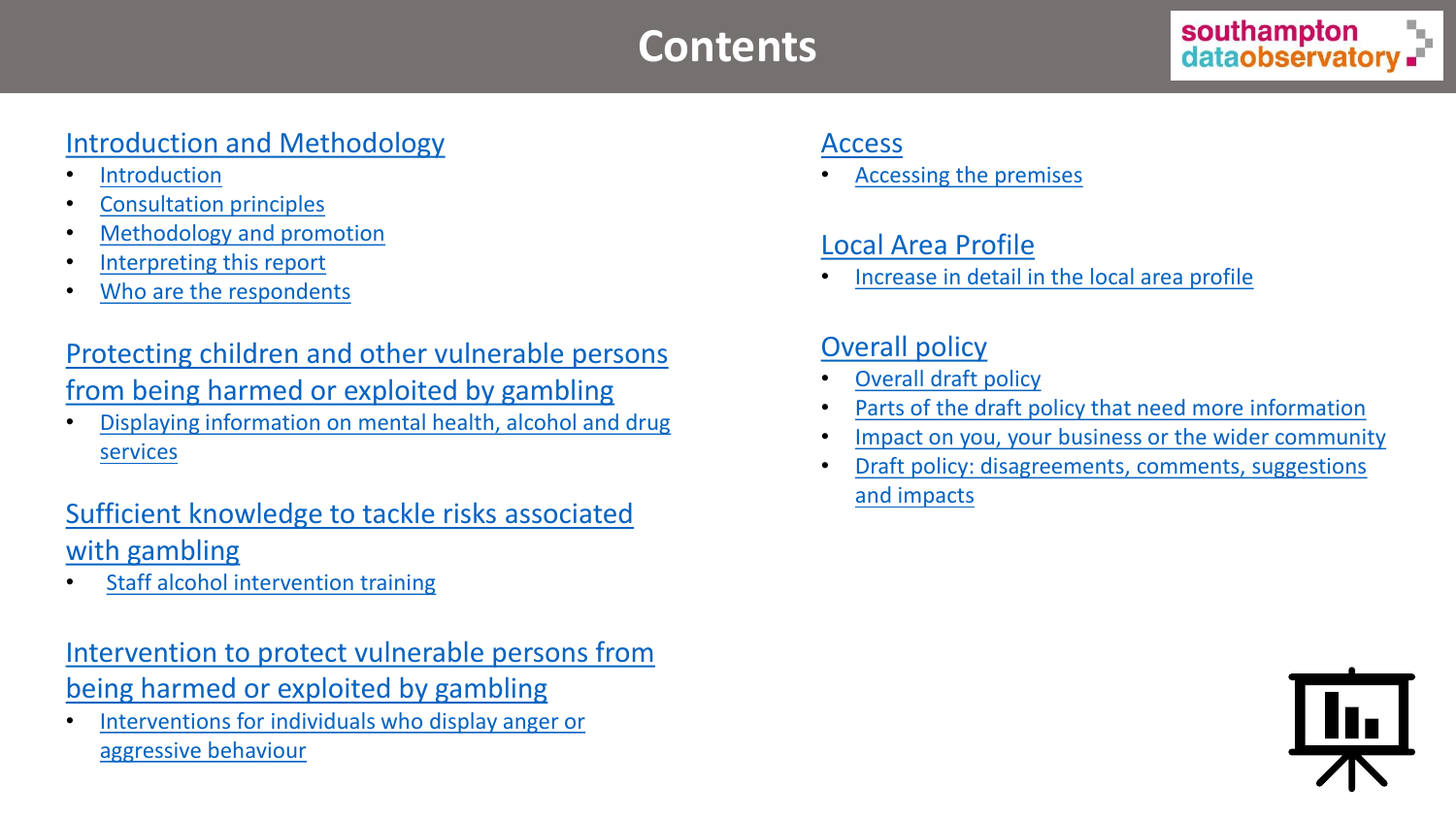# **Contents**

# [Introduction and Methodology](#page-2-0)

- **[Introduction](#page-3-0)**
- [Consultation principles](#page-4-0)
- [Methodology and promotion](#page-5-0)
- [Interpreting this report](#page-6-0)
- [Who are the respondents](#page-7-0)

# [Protecting children and other vulnerable persons](#page-8-0)  from being harmed or exploited by gambling

• [Displaying information on mental health, alcohol and drug](#page-10-0) services

# [Sufficient knowledge to tackle risks associated](#page-11-0)  with gambling

**[Staff alcohol intervention training](#page-13-0)** 

# [Intervention to protect vulnerable persons from](#page-14-0)  being harmed or exploited by gambling

• [Interventions for individuals who display anger or](#page-16-0)  aggressive behaviour

## [Access](#page-17-0)

• [Accessing the premises](#page-19-0)

# [Local Area Profile](#page-20-0)

• [Increase in detail in the local area profile](#page-22-0)

# [Overall policy](#page-23-0)

- [Overall draft policy](#page-24-0)
- [Parts of the draft policy that need more information](#page-25-0)
- [Impact on you, your business or the wider community](#page-26-0)
- [Draft policy: disagreements, comments, suggestions](#page-27-0)  and impacts

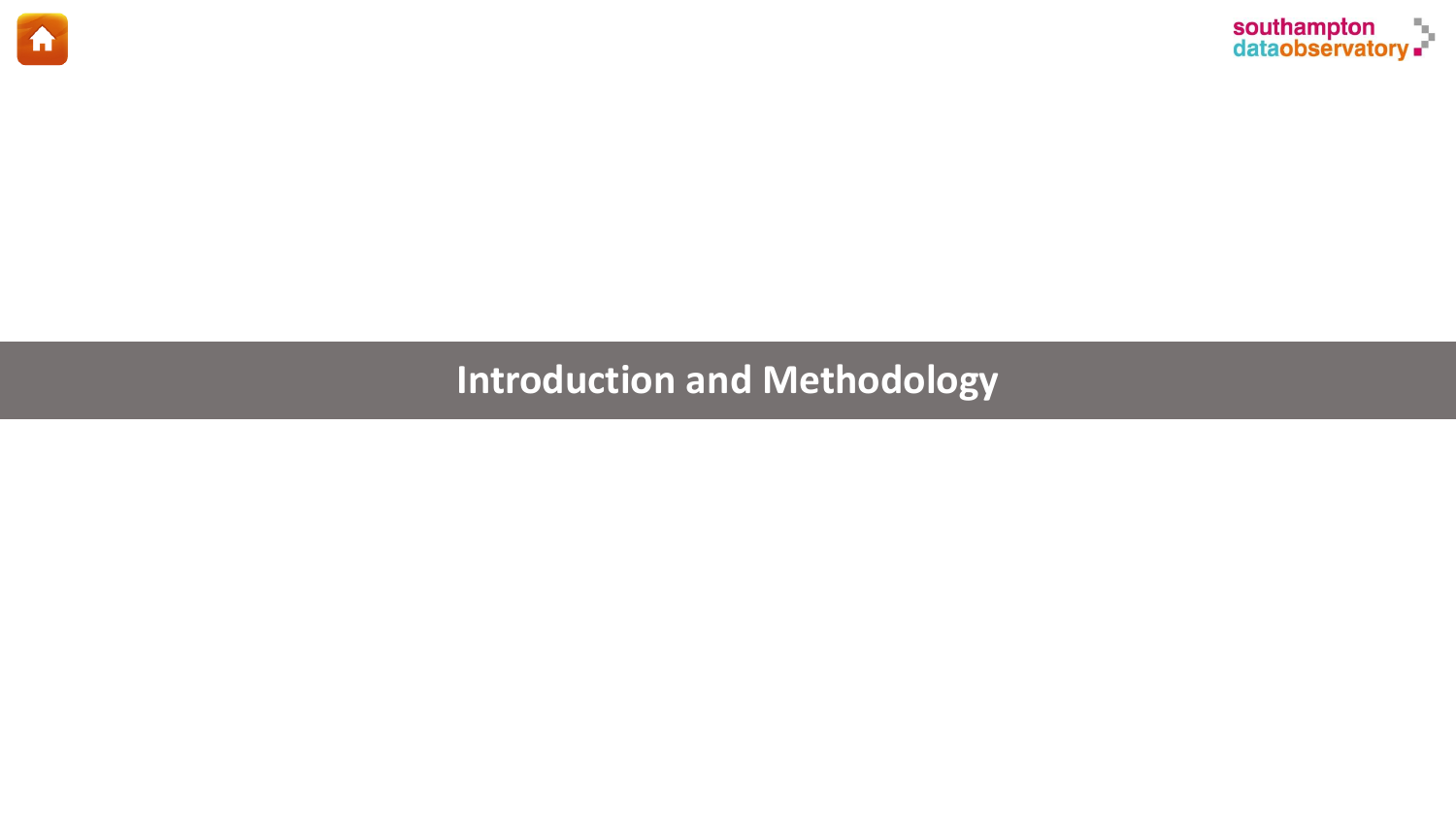<span id="page-2-0"></span>



# **Introduction and Methodology**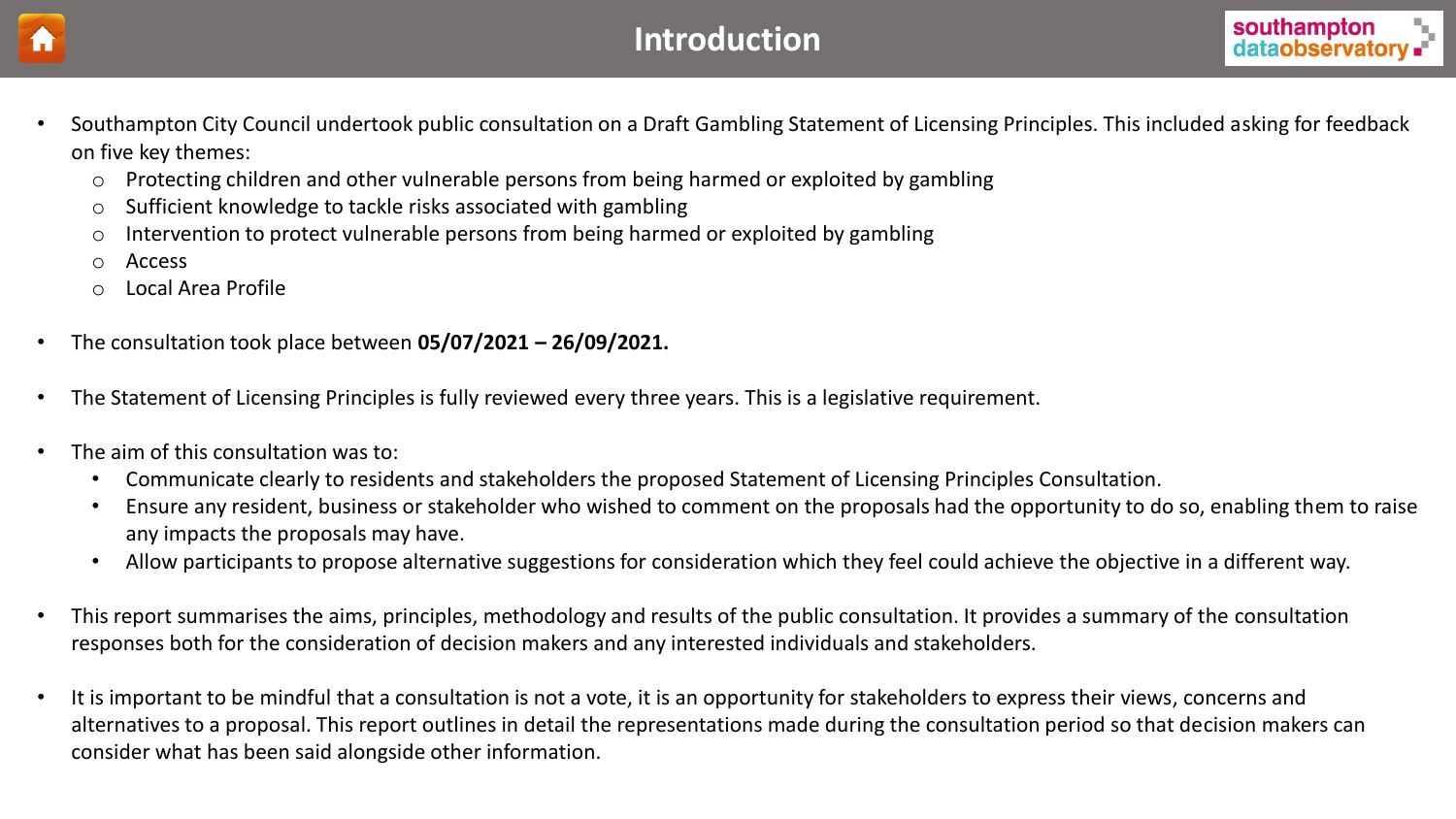<span id="page-3-0"></span>



- Southampton City Council undertook public consultation on a Draft Gambling Statement of Licensing Principles. This included asking for feedback on five key themes:
	- o Protecting children and other vulnerable persons from being harmed or exploited by gambling
	- o Sufficient knowledge to tackle risks associated with gambling
	- o Intervention to protect vulnerable persons from being harmed or exploited by gambling
	- o Access
	- Local Area Profile
- The consultation took place between **05/07/2021 – 26/09/2021.**
- The Statement of Licensing Principles is fully reviewed every three years. This is a legislative requirement.
- The aim of this consultation was to:
	- Communicate clearly to residents and stakeholders the proposed Statement of Licensing Principles Consultation.
	- Ensure any resident, business or stakeholder who wished to comment on the proposals had the opportunity to do so, enabling them to raise any impacts the proposals may have.
	- Allow participants to propose alternative suggestions for consideration which they feel could achieve the objective in a different way.
- This report summarises the aims, principles, methodology and results of the public consultation. It provides a summary of the consultation responses both for the consideration of decision makers and any interested individuals and stakeholders.
- It is important to be mindful that a consultation is not a vote, it is an opportunity for stakeholders to express their views, concerns and alternatives to a proposal. This report outlines in detail the representations made during the consultation period so that decision makers can consider what has been said alongside other information.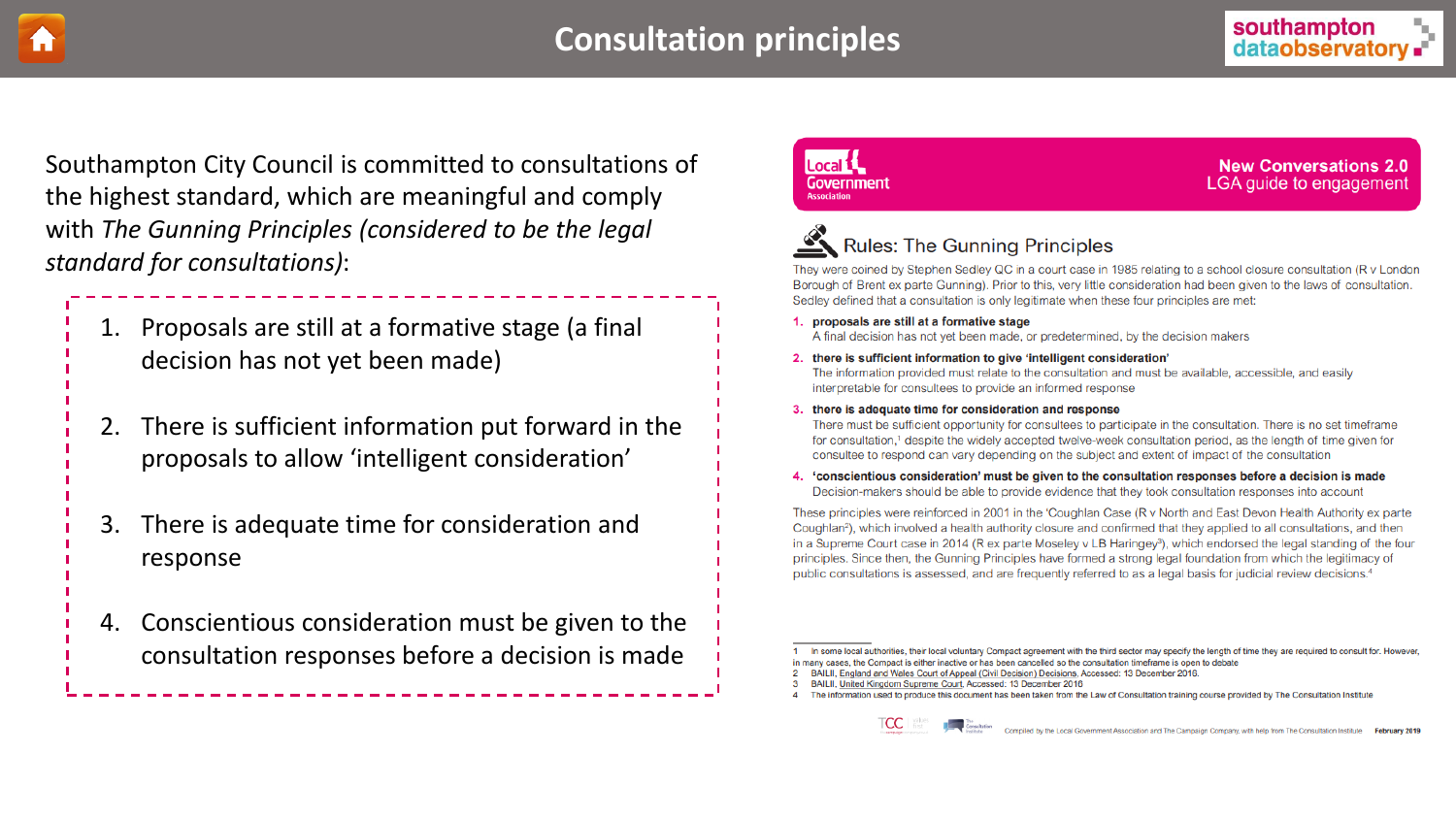<span id="page-4-0"></span>

Southampton City Council is committed to consultations of the highest standard, which are meaningful and comply with *The Gunning Principles (considered to be the legal standard for consultations)*:

- 1. Proposals are still at a formative stage (a final decision has not yet been made)
- 2. There is sufficient information put forward in the proposals to allow 'intelligent consideration'
- 3. There is adequate time for consideration and response
- 4. Conscientious consideration must be given to the consultation responses before a decision is made

#### Local 1 Government

**New Conversations 2.0** LGA quide to engagement

# **Rules: The Gunning Principles**

They were coined by Stephen Sedley QC in a court case in 1985 relating to a school closure consultation (R v London Borough of Brent ex parte Gunning). Prior to this, very little consideration had been given to the laws of consultation. Sedley defined that a consultation is only legitimate when these four principles are met:

#### 1. proposals are still at a formative stage

A final decision has not yet been made, or predetermined, by the decision makers

2. there is sufficient information to give 'intelligent consideration'

The information provided must relate to the consultation and must be available, accessible, and easily interpretable for consultees to provide an informed response

3. there is adequate time for consideration and response

There must be sufficient opportunity for consultees to participate in the consultation. There is no set timeframe for consultation,<sup>1</sup> despite the widely accepted twelve-week consultation period, as the length of time given for consultee to respond can vary depending on the subject and extent of impact of the consultation

4. 'conscientious consideration' must be given to the consultation responses before a decision is made Decision-makers should be able to provide evidence that they took consultation responses into account

These principles were reinforced in 2001 in the 'Coughlan Case (R v North and East Devon Health Authority ex parte Coughlan<sup>2</sup>), which involved a health authority closure and confirmed that they applied to all consultations, and then in a Supreme Court case in 2014 (R ex parte Moseley v LB Haringey<sup>3</sup>), which endorsed the legal standing of the four principles. Since then, the Gunning Principles have formed a strong legal foundation from which the legitimacy of public consultations is assessed, and are frequently referred to as a legal basis for judicial review decisions.<sup>4</sup>

In some local authorities, their local voluntary Compact agreement with the third sector may specify the length of time they are required to consult for. However in many cases, the Compact is either inactive or has been cancelled so the consultation timeframe is open to debate

- 2 BAILII, England and Wales Court of Appeal (Civil Decision) Decisions, Accessed: 13 December 2016.
- 3 BAILII, United Kingdom Supreme Court, Accessed: 13 December 2016
- 4 The information used to produce this document has been taken from the Law of Consultation training course provided by The Consultation Institute



Compiled by the Local Government Association and The Campaign Company, with help from The Consultation Institute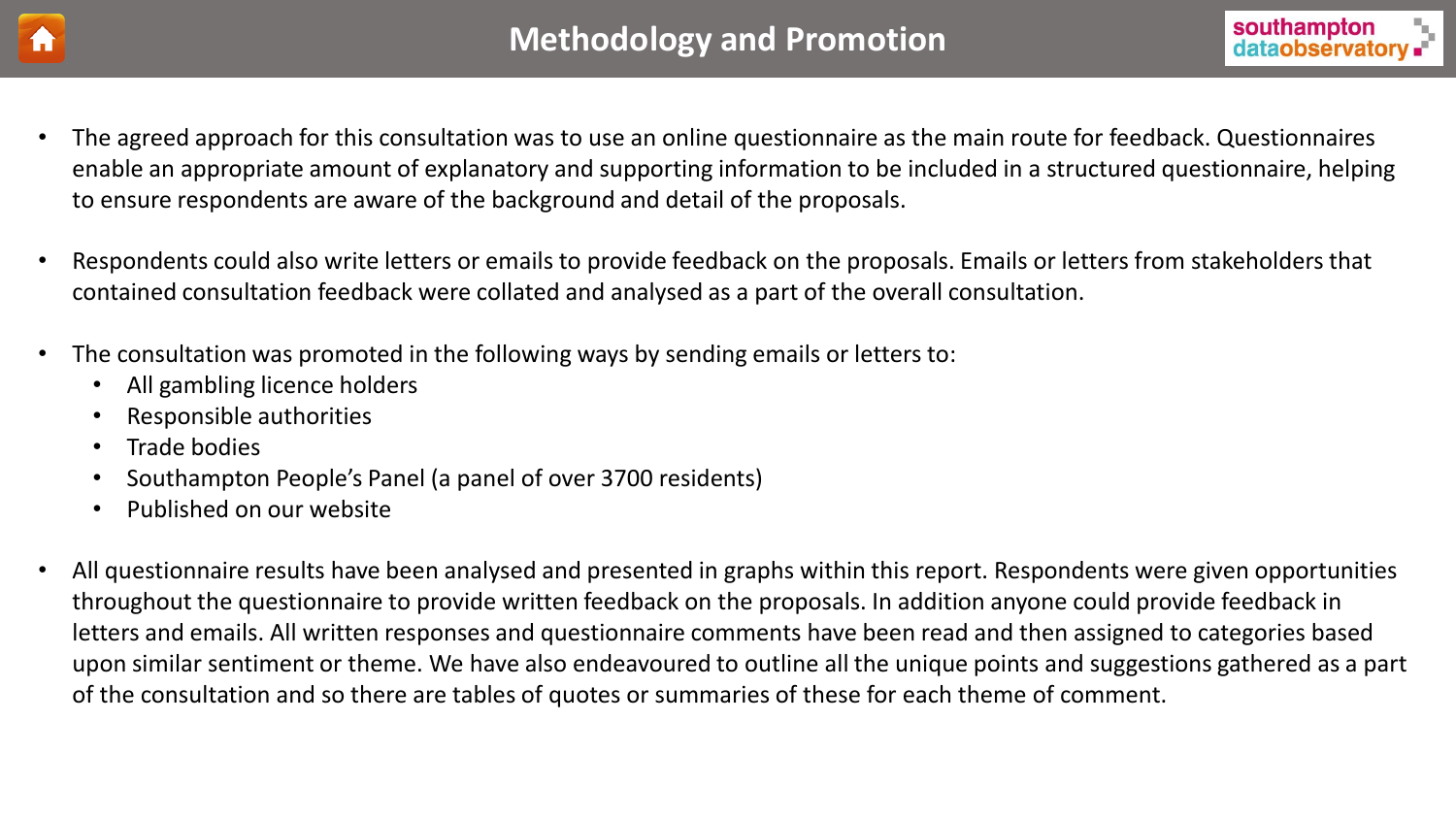<span id="page-5-0"></span>



- The agreed approach for this consultation was to use an online questionnaire as the main route for feedback. Questionnaires enable an appropriate amount of explanatory and supporting information to be included in a structured questionnaire, helping to ensure respondents are aware of the background and detail of the proposals.
- Respondents could also write letters or emails to provide feedback on the proposals. Emails or letters from stakeholders that contained consultation feedback were collated and analysed as a part of the overall consultation.
- The consultation was promoted in the following ways by sending emails or letters to:
	- All gambling licence holders
	- Responsible authorities
	- Trade bodies
	- Southampton People's Panel (a panel of over 3700 residents)
	- Published on our website
- All questionnaire results have been analysed and presented in graphs within this report. Respondents were given opportunities throughout the questionnaire to provide written feedback on the proposals. In addition anyone could provide feedback in letters and emails. All written responses and questionnaire comments have been read and then assigned to categories based upon similar sentiment or theme. We have also endeavoured to outline all the unique points and suggestions gathered as a part of the consultation and so there are tables of quotes or summaries of these for each theme of comment.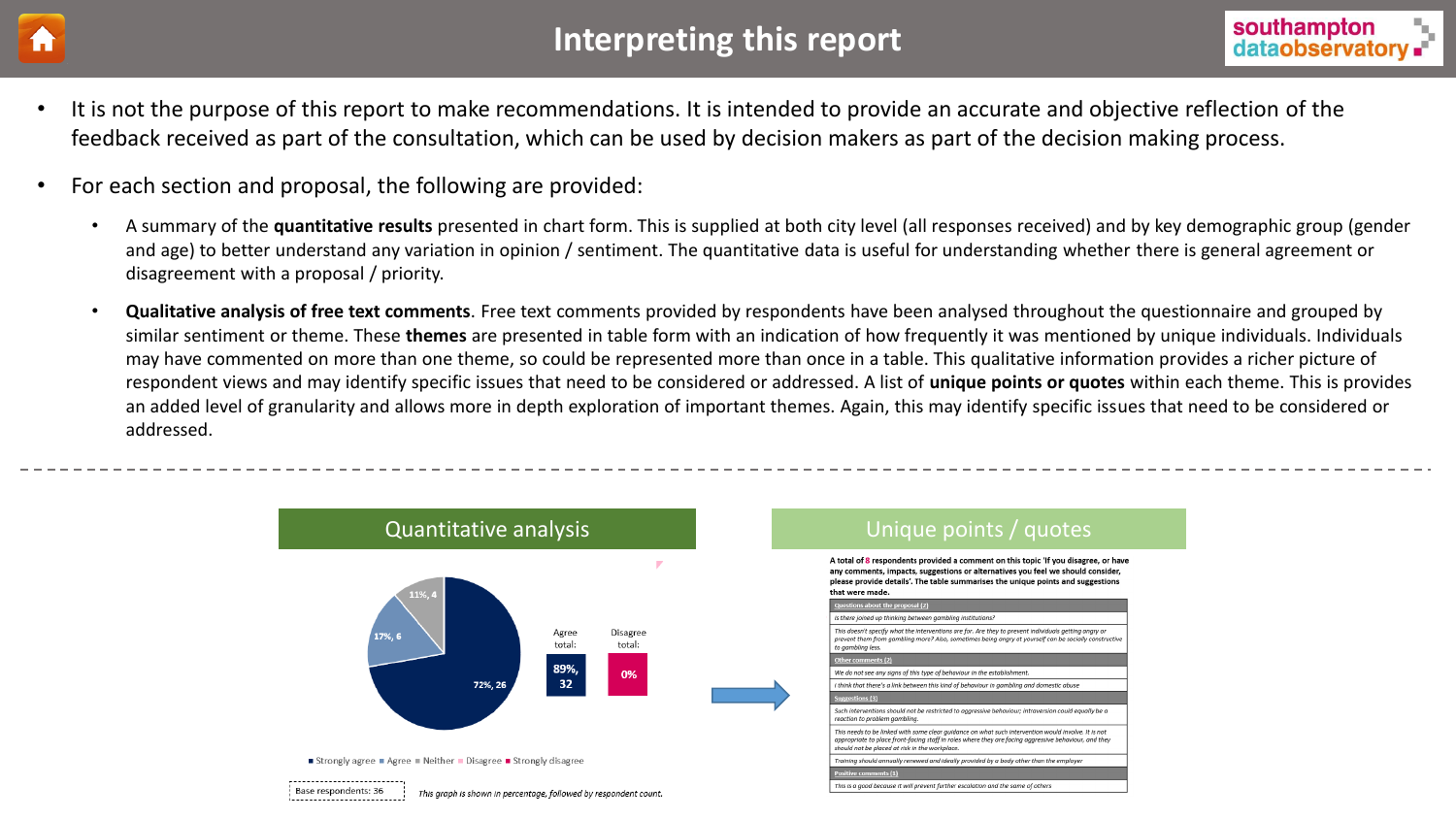<span id="page-6-0"></span>

# **Interpreting this report Interpreting this report Interpreting the Southampton**



- It is not the purpose of this report to make recommendations. It is intended to provide an accurate and objective reflection of the feedback received as part of the consultation, which can be used by decision makers as part of the decision making process.
- For each section and proposal, the following are provided:
	- A summary of the **quantitative results** presented in chart form. This is supplied at both city level (all responses received) and by key demographic group (gender and age) to better understand any variation in opinion / sentiment. The quantitative data is useful for understanding whether there is general agreement or disagreement with a proposal / priority.
	- **Qualitative analysis of free text comments**. Free text comments provided by respondents have been analysed throughout the questionnaire and grouped by similar sentiment or theme. These **themes** are presented in table form with an indication of how frequently it was mentioned by unique individuals. Individuals may have commented on more than one theme, so could be represented more than once in a table. This qualitative information provides a richer picture of respondent views and may identify specific issues that need to be considered or addressed. A list of **unique points or quotes** within each theme. This is provides an added level of granularity and allows more in depth exploration of important themes. Again, this may identify specific issues that need to be considered or addressed.

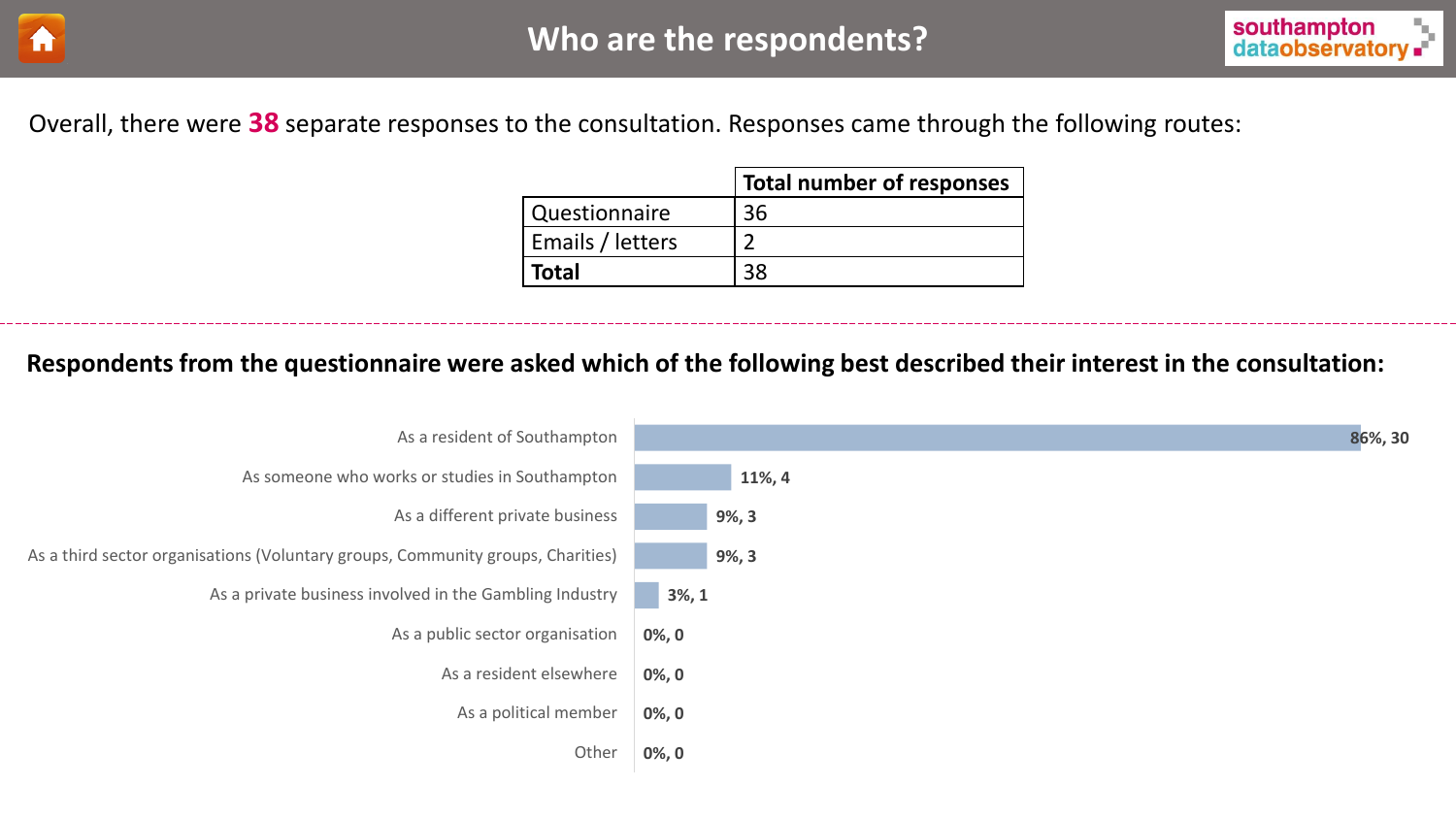<span id="page-7-0"></span>



Overall, there were **38** separate responses to the consultation. Responses came through the following routes:

|                  | Total number of responses |
|------------------|---------------------------|
| Questionnaire    | 36                        |
| Emails / letters |                           |
| <b>Total</b>     |                           |

**Respondents from the questionnaire were asked which of the following best described their interest in the consultation:**

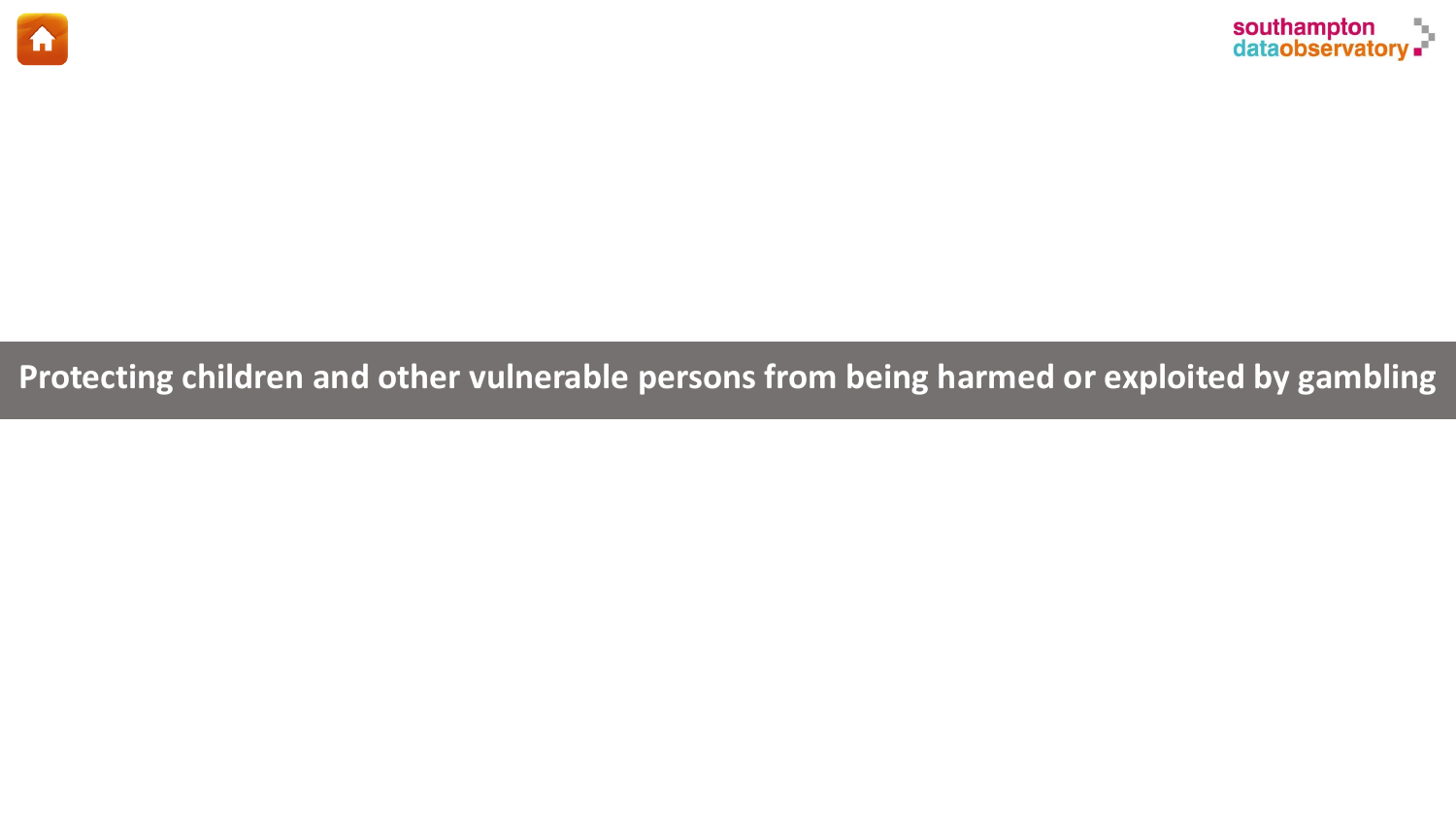<span id="page-8-0"></span>



**Protecting children and other vulnerable persons from being harmed or exploited by gambling**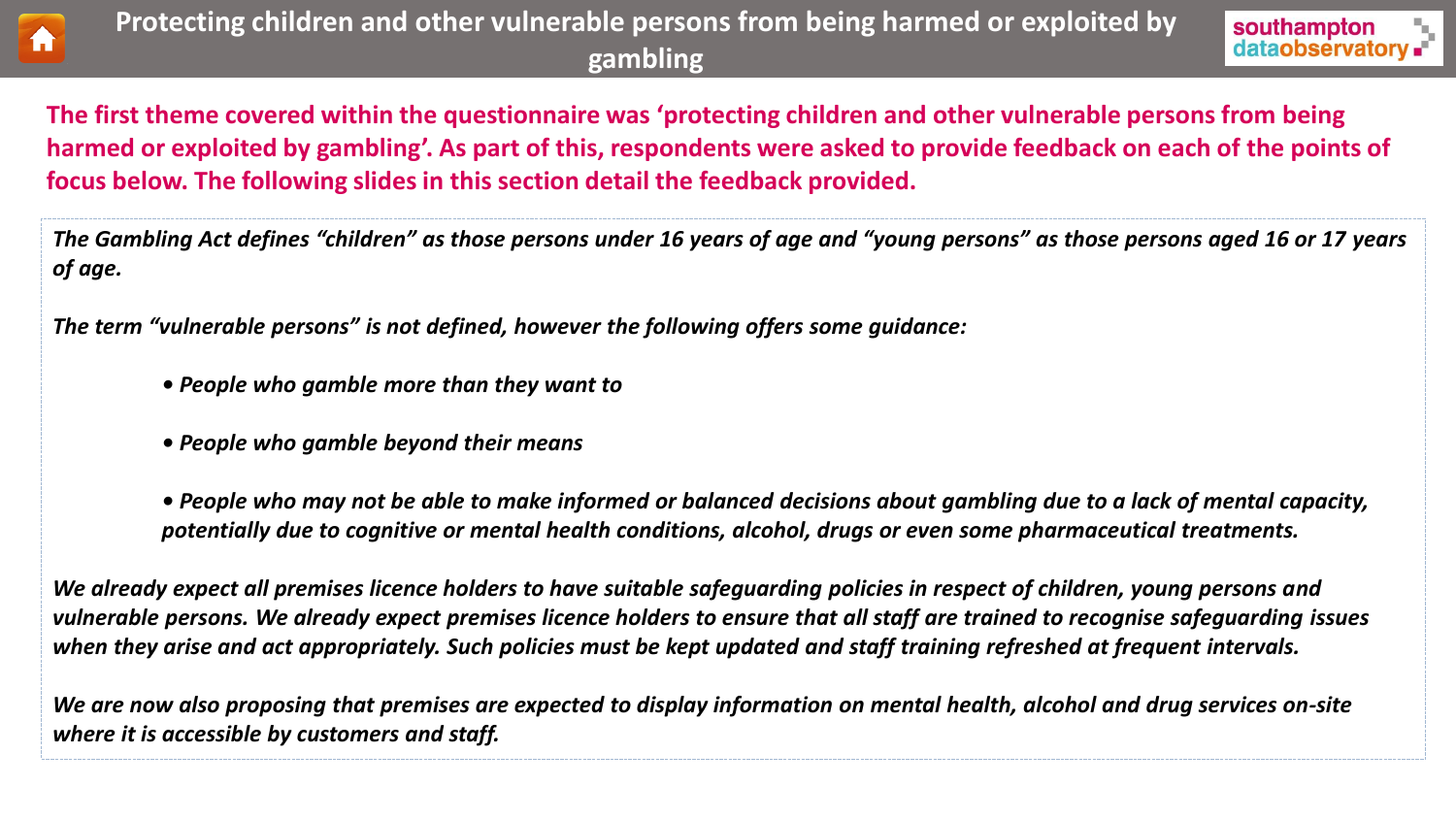



**The first theme covered within the questionnaire was 'protecting children and other vulnerable persons from being harmed or exploited by gambling'. As part of this, respondents were asked to provide feedback on each of the points of focus below. The following slides in this section detail the feedback provided.** 

*The Gambling Act defines "children" as those persons under 16 years of age and "young persons" as those persons aged 16 or 17 years of age.*

*The term "vulnerable persons" is not defined, however the following offers some guidance:*

- *People who gamble more than they want to*
- *People who gamble beyond their means*

*• People who may not be able to make informed or balanced decisions about gambling due to a lack of mental capacity, potentially due to cognitive or mental health conditions, alcohol, drugs or even some pharmaceutical treatments.*

*We already expect all premises licence holders to have suitable safeguarding policies in respect of children, young persons and vulnerable persons. We already expect premises licence holders to ensure that all staff are trained to recognise safeguarding issues when they arise and act appropriately. Such policies must be kept updated and staff training refreshed at frequent intervals.*

*We are now also proposing that premises are expected to display information on mental health, alcohol and drug services on-site where it is accessible by customers and staff.*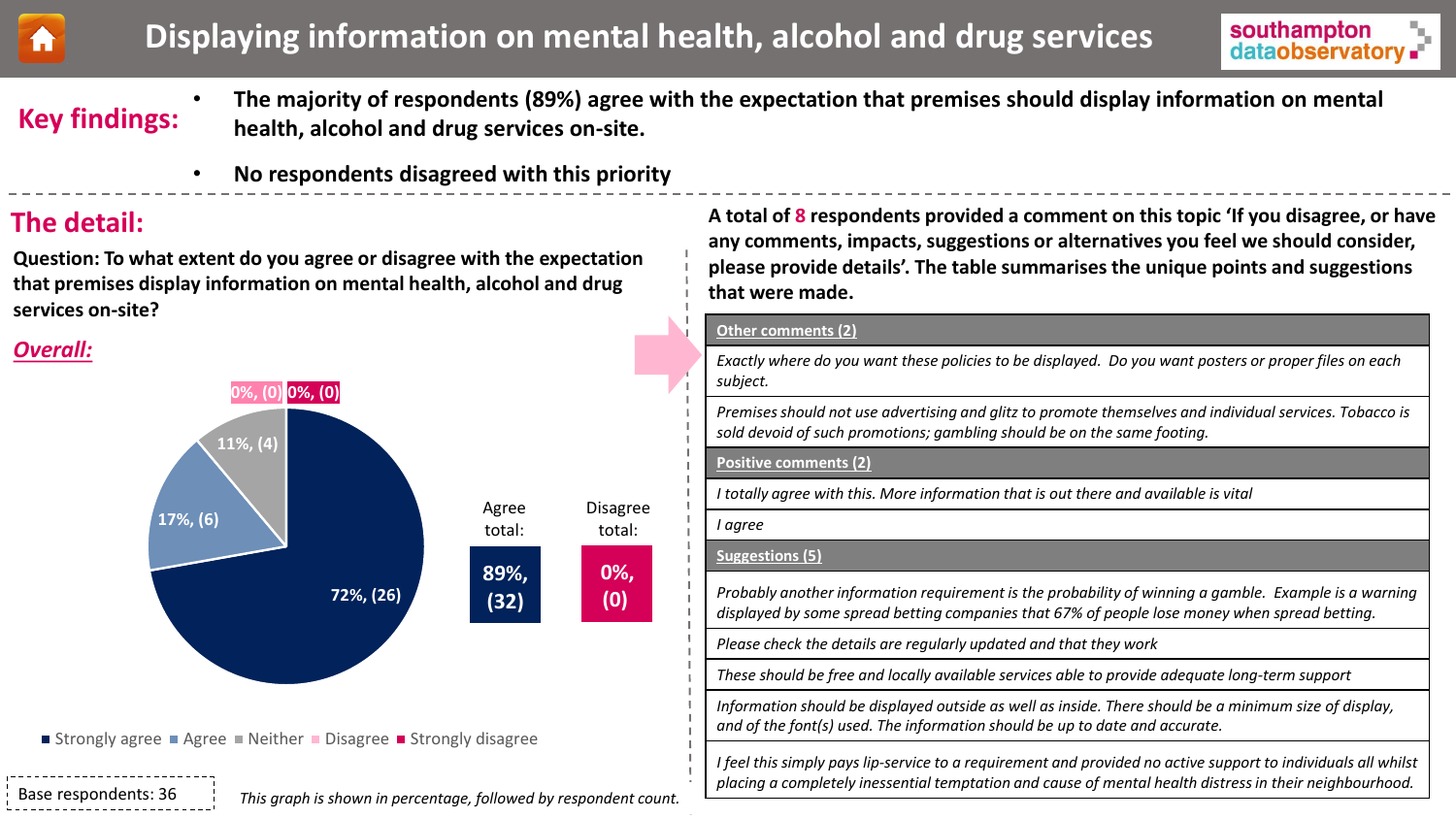<span id="page-10-0"></span>



# **Key findings:**

- **The majority of respondents (89%) agree with the expectation that premises should display information on mental health, alcohol and drug services on-site.**
- **No respondents disagreed with this priority**

## **The detail:**

**Question: To what extent do you agree or disagree with the expectation that premises display information on mental health, alcohol and drug services on-site?**

### *Overall:*



■ Strongly agree ■ Agree ■ Neither ■ Disagree ■ Strongly disagree

Base respondents: 36

**A total of 8 respondents provided a comment on this topic 'If you disagree, or have any comments, impacts, suggestions or alternatives you feel we should consider, please provide details'. The table summarises the unique points and suggestions that were made.**

#### **Other comments (2)**

*Exactly where do you want these policies to be displayed. Do you want posters or proper files on each subject.*

*Premises should not use advertising and glitz to promote themselves and individual services. Tobacco is sold devoid of such promotions; gambling should be on the same footing.*

#### **Positive comments (2)**

*I totally agree with this. More information that is out there and available is vital*

*I agree* 

#### **Suggestions (5)**

*Probably another information requirement is the probability of winning a gamble. Example is a warning displayed by some spread betting companies that 67% of people lose money when spread betting.*

*Please check the details are regularly updated and that they work*

*These should be free and locally available services able to provide adequate long-term support*

*Information should be displayed outside as well as inside. There should be a minimum size of display, and of the font(s) used. The information should be up to date and accurate.*

*I feel this simply pays lip-service to a requirement and provided no active support to individuals all whilst placing a completely inessential temptation and cause of mental health distress in their neighbourhood.*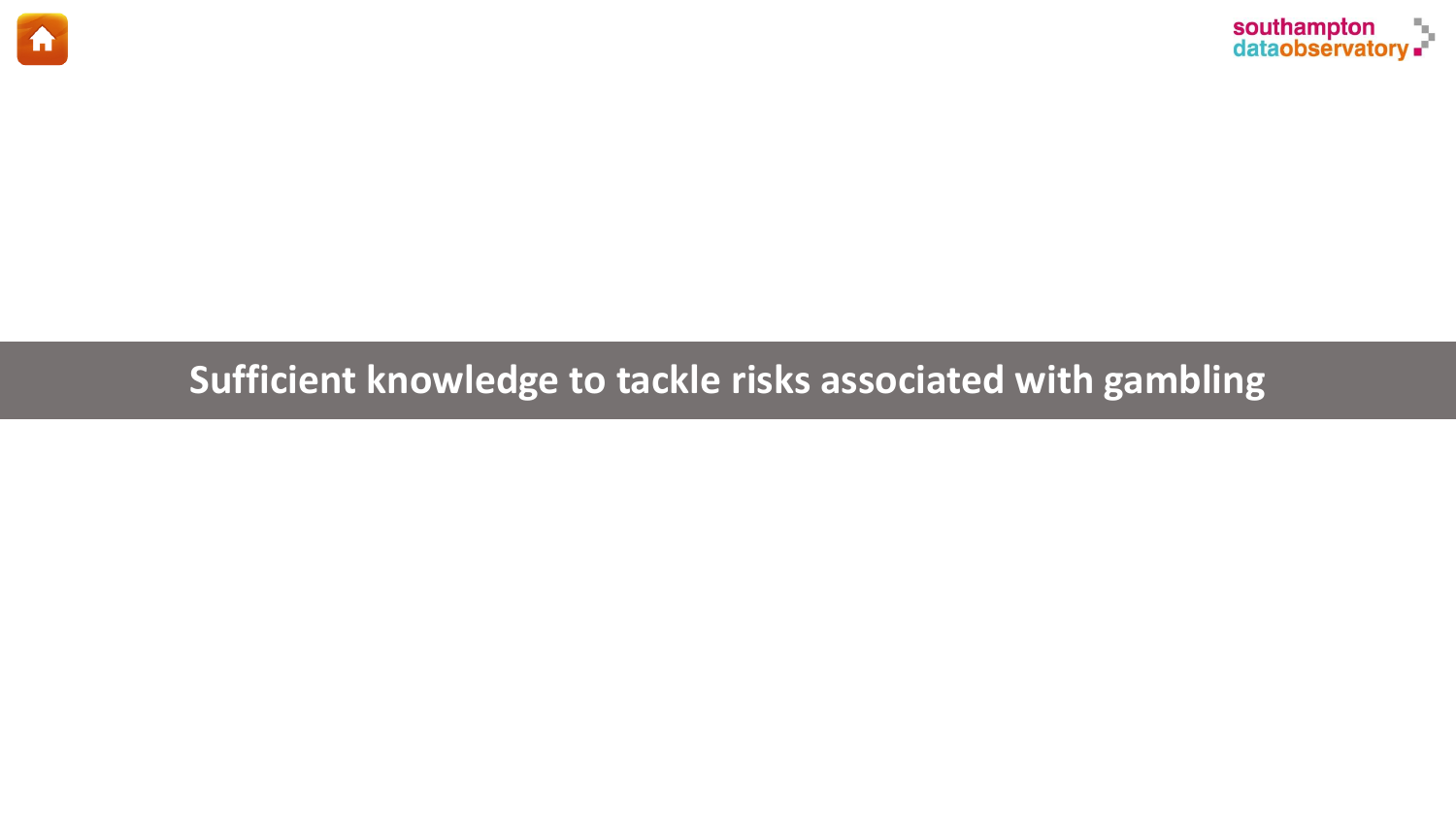<span id="page-11-0"></span>



# **Sufficient knowledge to tackle risks associated with gambling**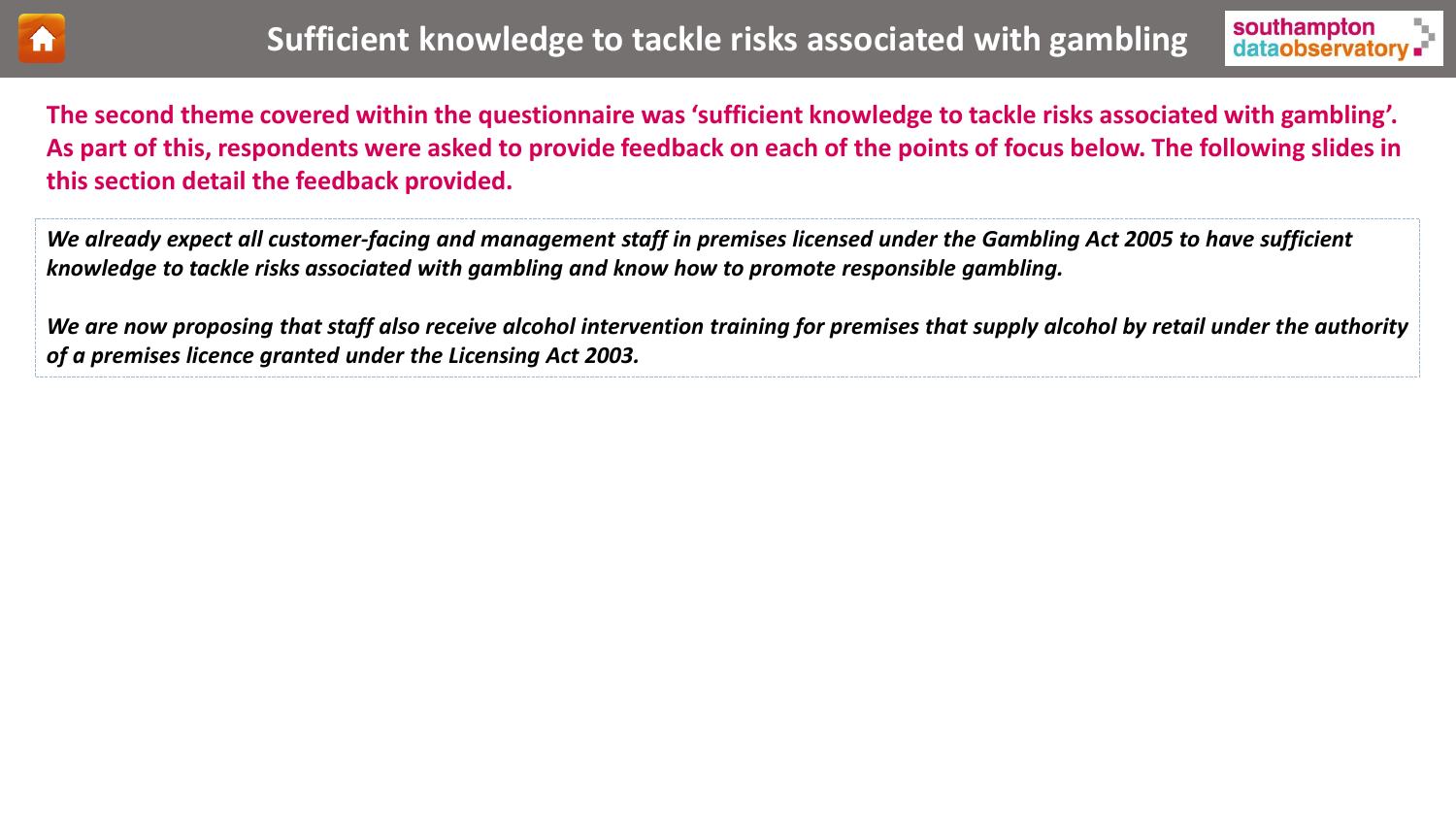

**The second theme covered within the questionnaire was 'sufficient knowledge to tackle risks associated with gambling'. As part of this, respondents were asked to provide feedback on each of the points of focus below. The following slides in this section detail the feedback provided.** 

*We already expect all customer-facing and management staff in premises licensed under the Gambling Act 2005 to have sufficient knowledge to tackle risks associated with gambling and know how to promote responsible gambling.*

*We are now proposing that staff also receive alcohol intervention training for premises that supply alcohol by retail under the authority of a premises licence granted under the Licensing Act 2003.*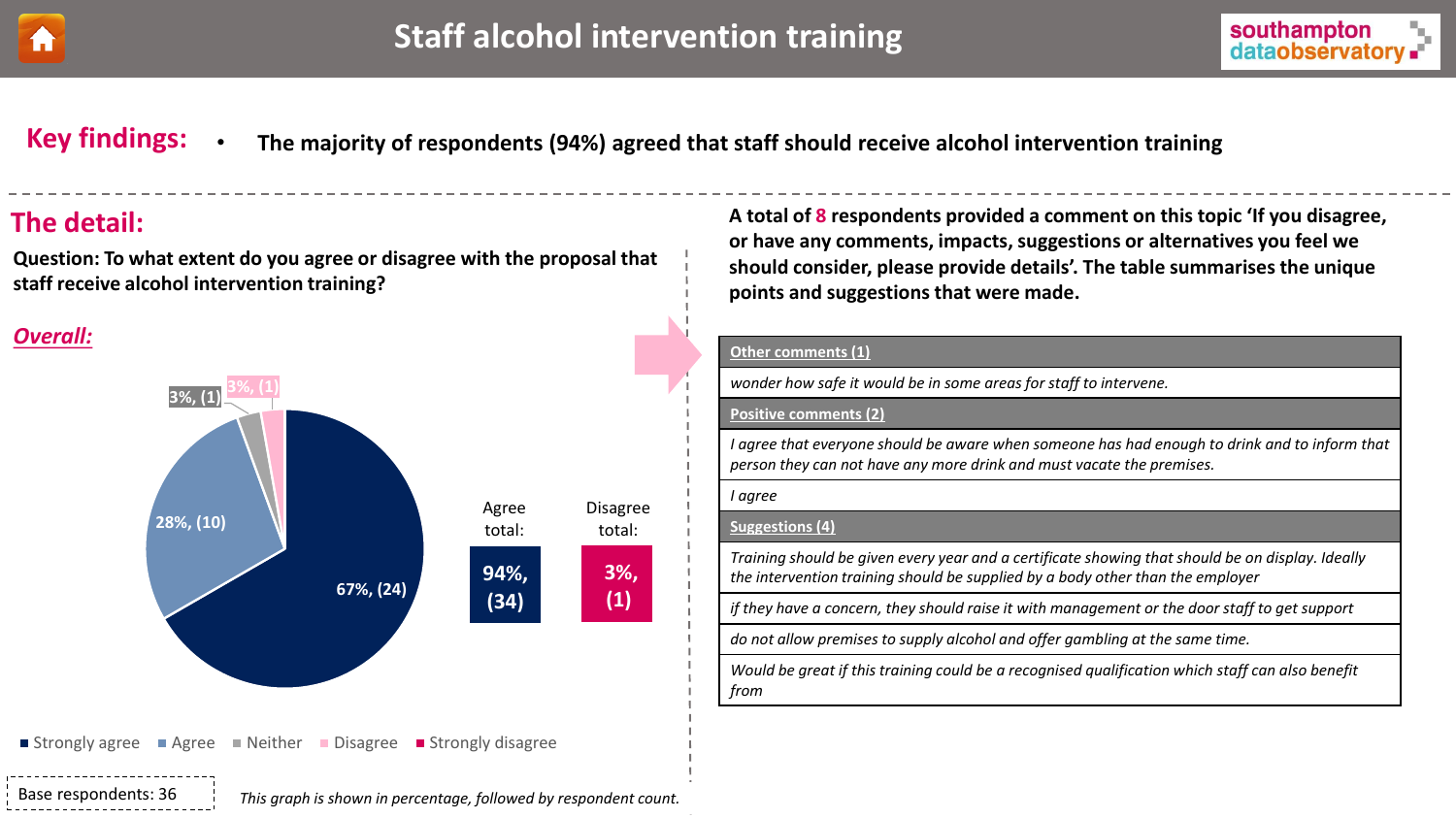<span id="page-13-0"></span>



**Key findings:** • **The majority of respondents (94%) agreed that staff should receive alcohol intervention training**

**Question: To what extent do you agree or disagree with the proposal that staff receive alcohol intervention training?**

### *Overall:*



**The detail: A total of 8 respondents provided a comment on this topic 'If you disagree, or have any comments, impacts, suggestions or alternatives you feel we should consider, please provide details'. The table summarises the unique points and suggestions that were made.**

#### **Other comments (1)**

*wonder how safe it would be in some areas for staff to intervene.*

#### **Positive comments (2)**

*I agree that everyone should be aware when someone has had enough to drink and to inform that person they can not have any more drink and must vacate the premises.*

#### *I agree*

#### **Suggestions (4)**

*Training should be given every year and a certificate showing that should be on display. Ideally the intervention training should be supplied by a body other than the employer*

*if they have a concern, they should raise it with management or the door staff to get support*

*do not allow premises to supply alcohol and offer gambling at the same time.*

*Would be great if this training could be a recognised qualification which staff can also benefit from*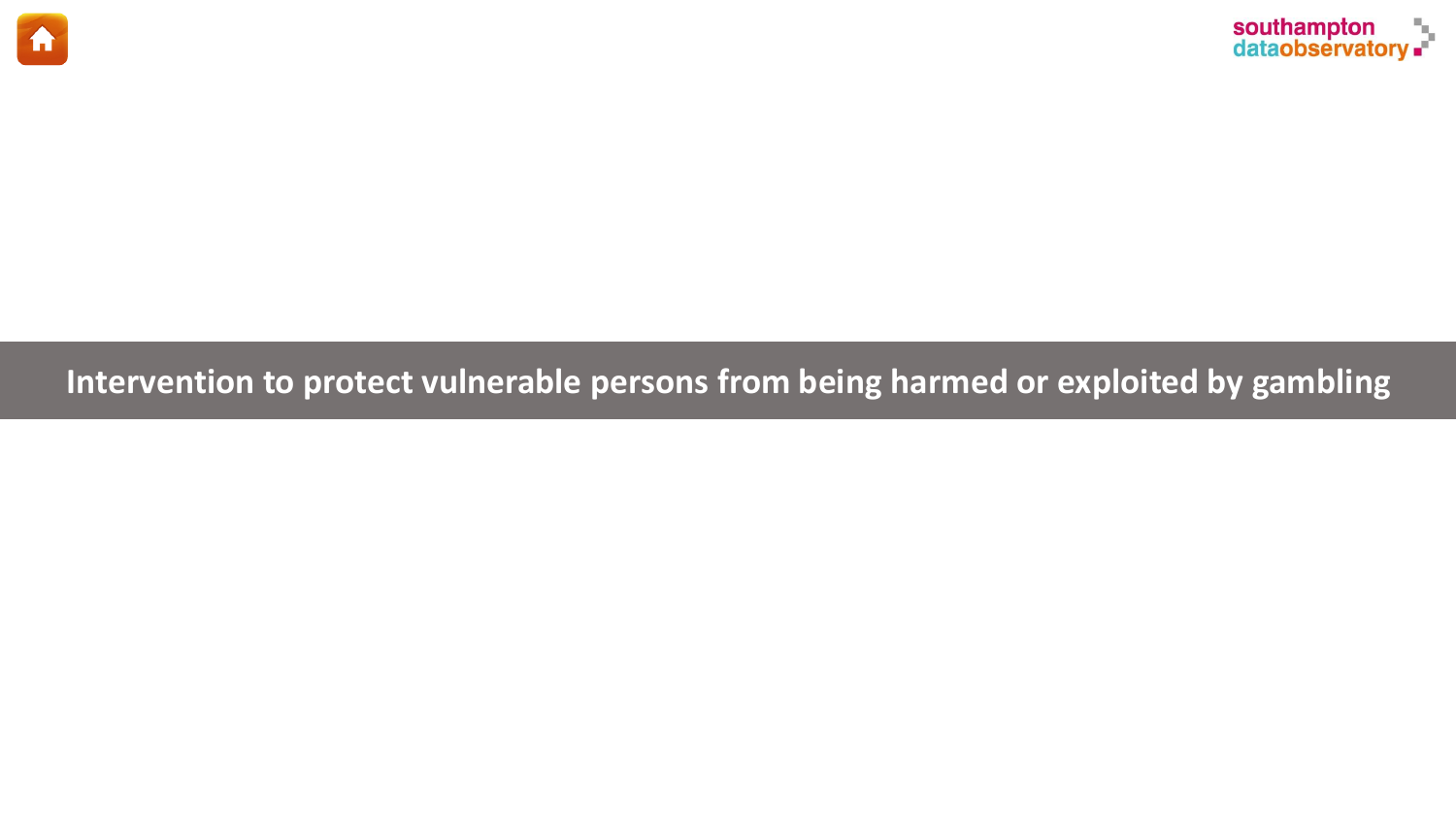<span id="page-14-0"></span>



# **Intervention to protect vulnerable persons from being harmed or exploited by gambling**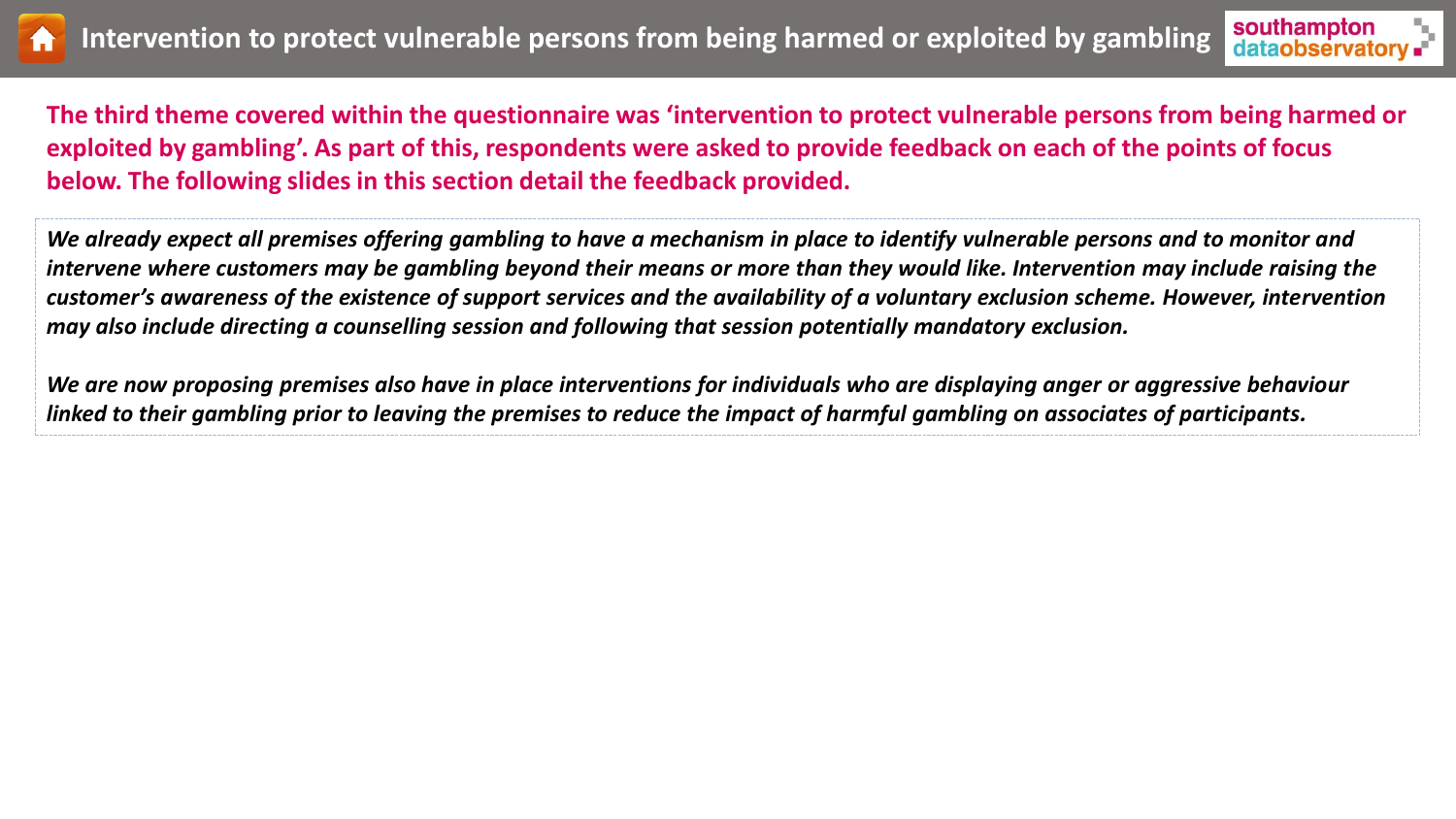



**The third theme covered within the questionnaire was 'intervention to protect vulnerable persons from being harmed or exploited by gambling'. As part of this, respondents were asked to provide feedback on each of the points of focus below. The following slides in this section detail the feedback provided.** 

*We already expect all premises offering gambling to have a mechanism in place to identify vulnerable persons and to monitor and intervene where customers may be gambling beyond their means or more than they would like. Intervention may include raising the customer's awareness of the existence of support services and the availability of a voluntary exclusion scheme. However, intervention may also include directing a counselling session and following that session potentially mandatory exclusion.*

*We are now proposing premises also have in place interventions for individuals who are displaying anger or aggressive behaviour linked to their gambling prior to leaving the premises to reduce the impact of harmful gambling on associates of participants.*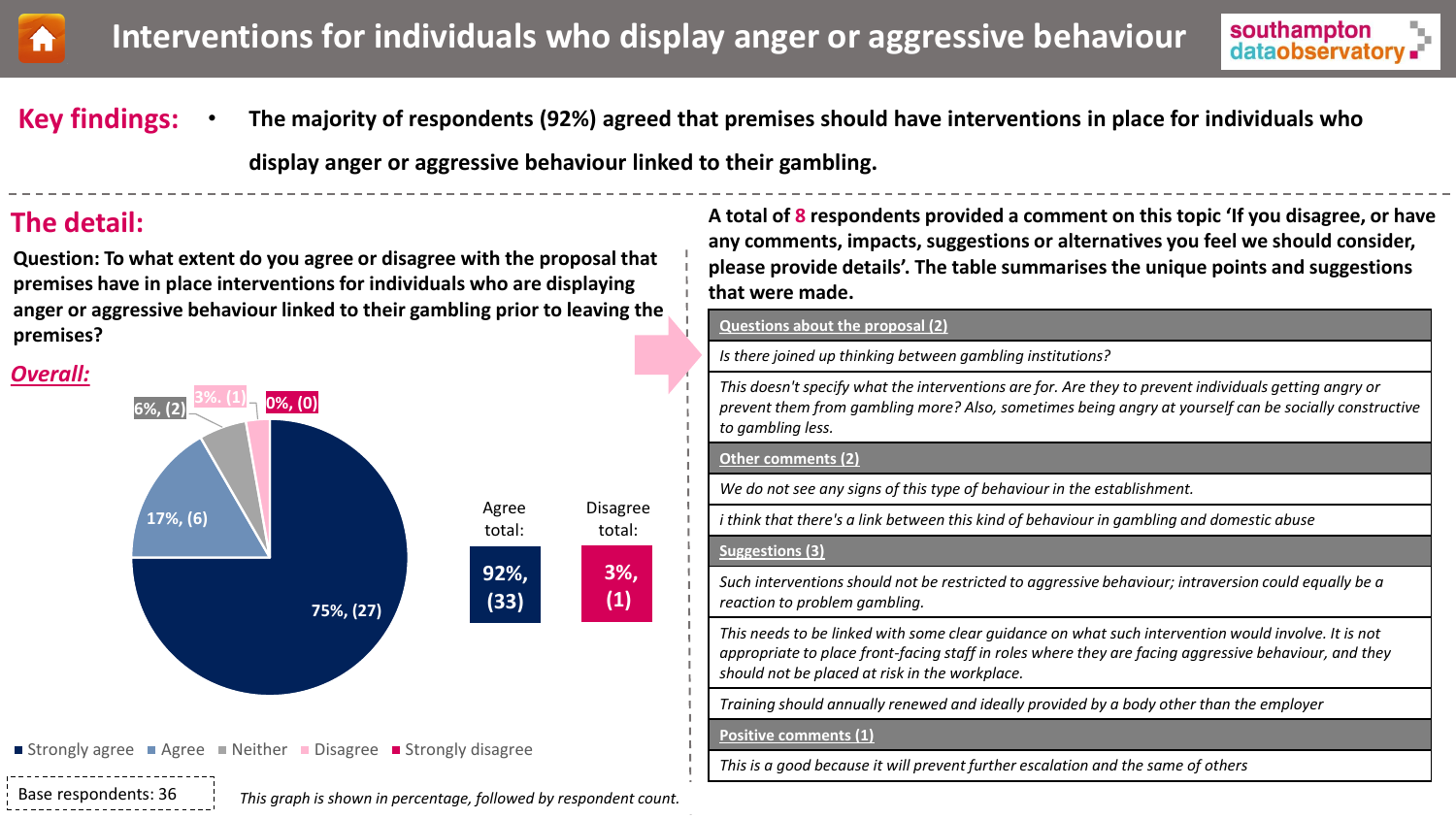<span id="page-16-0"></span>



**Key findings:** 

• **The majority of respondents (92%) agreed that premises should have interventions in place for individuals who** 

**display anger or aggressive behaviour linked to their gambling.**

**Question: To what extent do you agree or disagree with the proposal that premises have in place interventions for individuals who are displaying anger or aggressive behaviour linked to their gambling prior to leaving the premises?**

### *Overall:*



**The detail: A total of 8 respondents provided a comment on this topic 'If you disagree, or have any comments, impacts, suggestions or alternatives you feel we should consider, please provide details'. The table summarises the unique points and suggestions that were made.**

#### **Questions about the proposal (2)**

*Is there joined up thinking between gambling institutions?*

*This doesn't specify what the interventions are for. Are they to prevent individuals getting angry or prevent them from gambling more? Also, sometimes being angry at yourself can be socially constructive to gambling less.*

#### **Other comments (2)**

*We do not see any signs of this type of behaviour in the establishment.*

*i think that there's a link between this kind of behaviour in gambling and domestic abuse*

#### **Suggestions (3)**

*Such interventions should not be restricted to aggressive behaviour; intraversion could equally be a reaction to problem gambling.*

*This needs to be linked with some clear guidance on what such intervention would involve. It is not appropriate to place front-facing staff in roles where they are facing aggressive behaviour, and they should not be placed at risk in the workplace.*

*Training should annually renewed and ideally provided by a body other than the employer*

**Positive comments (1)**

*This is a good because it will prevent further escalation and the same of others*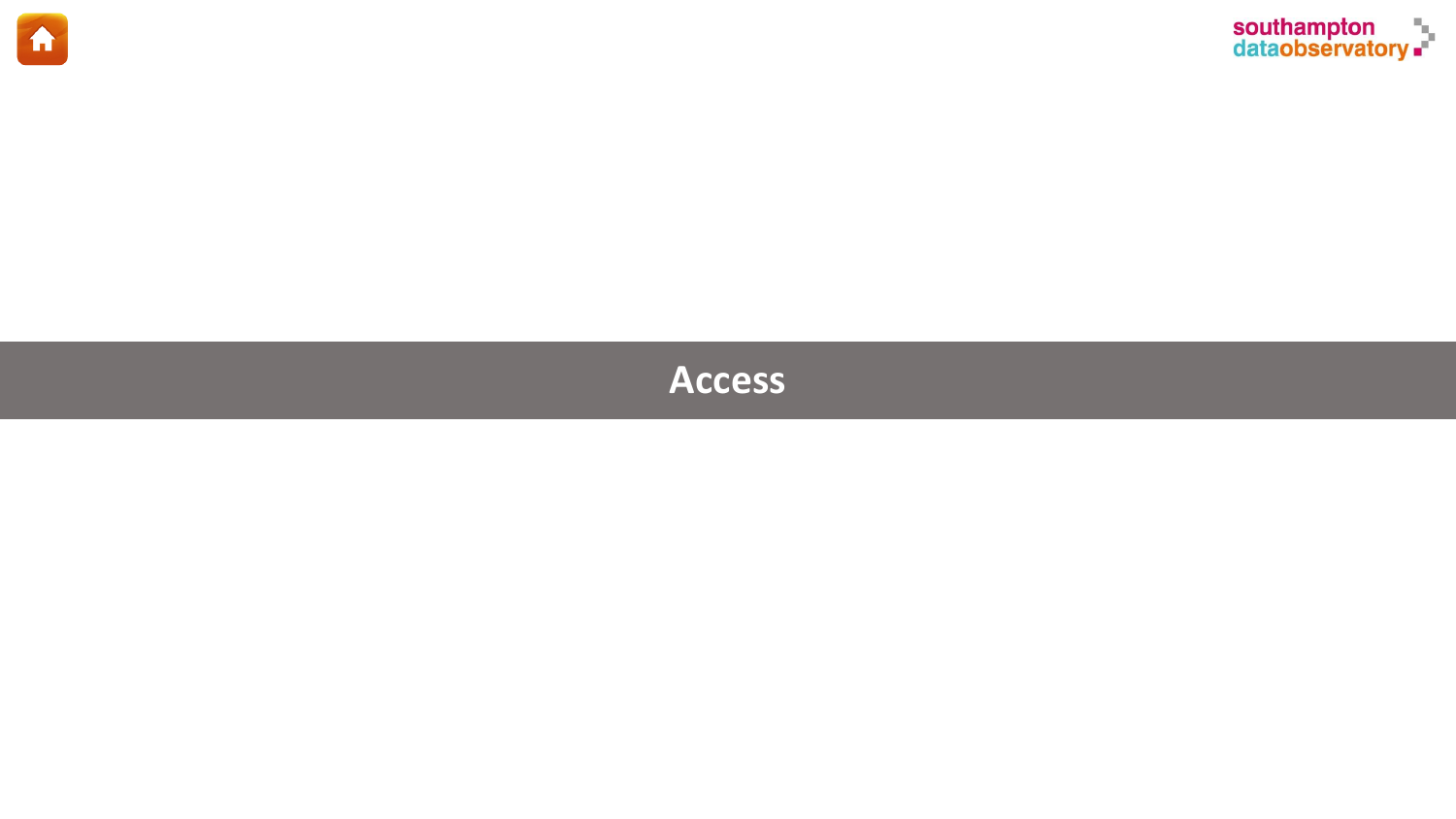<span id="page-17-0"></span>



# **Access**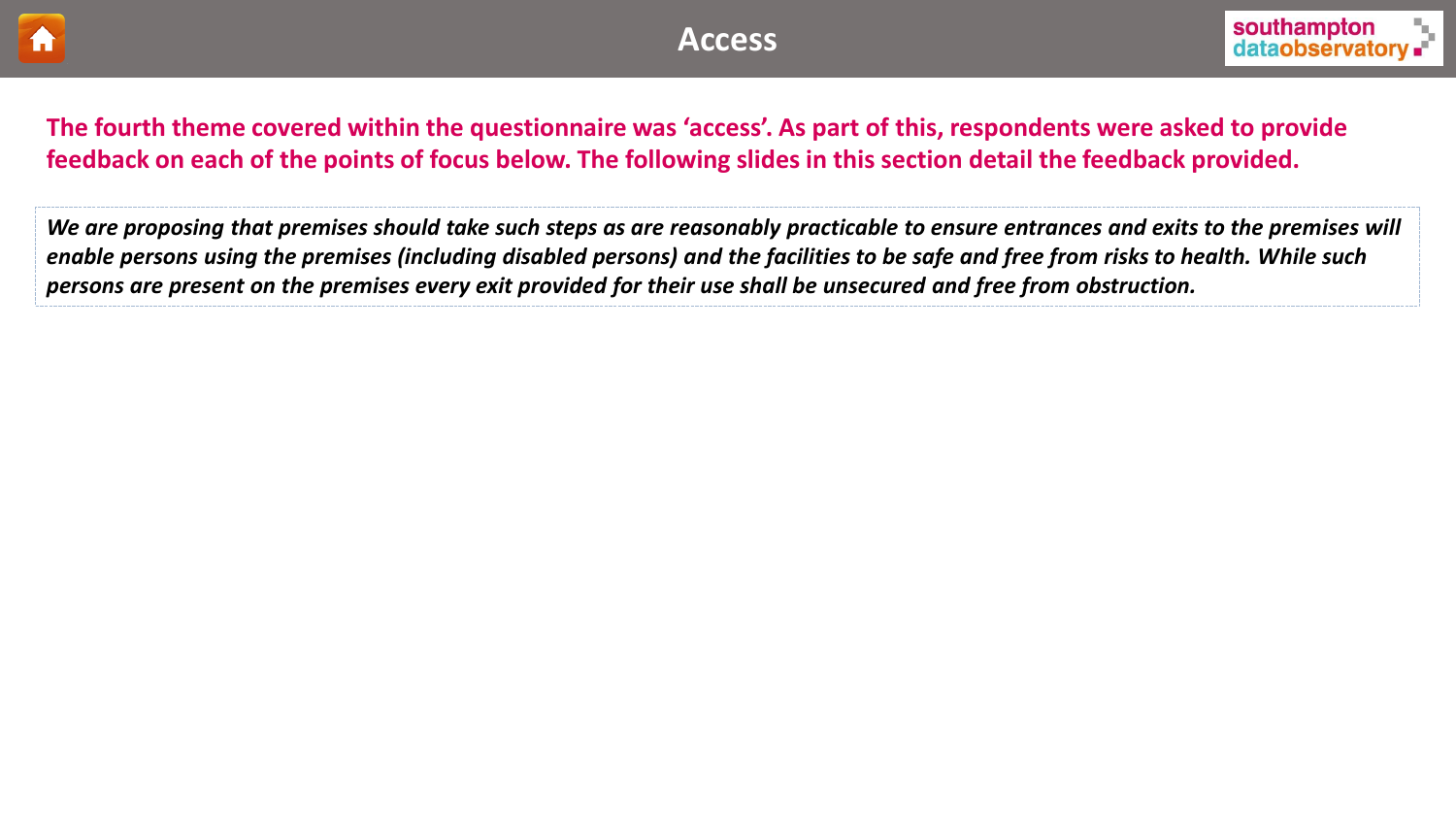



## **The fourth theme covered within the questionnaire was 'access'. As part of this, respondents were asked to provide feedback on each of the points of focus below. The following slides in this section detail the feedback provided.**

*We are proposing that premises should take such steps as are reasonably practicable to ensure entrances and exits to the premises will enable persons using the premises (including disabled persons) and the facilities to be safe and free from risks to health. While such persons are present on the premises every exit provided for their use shall be unsecured and free from obstruction.*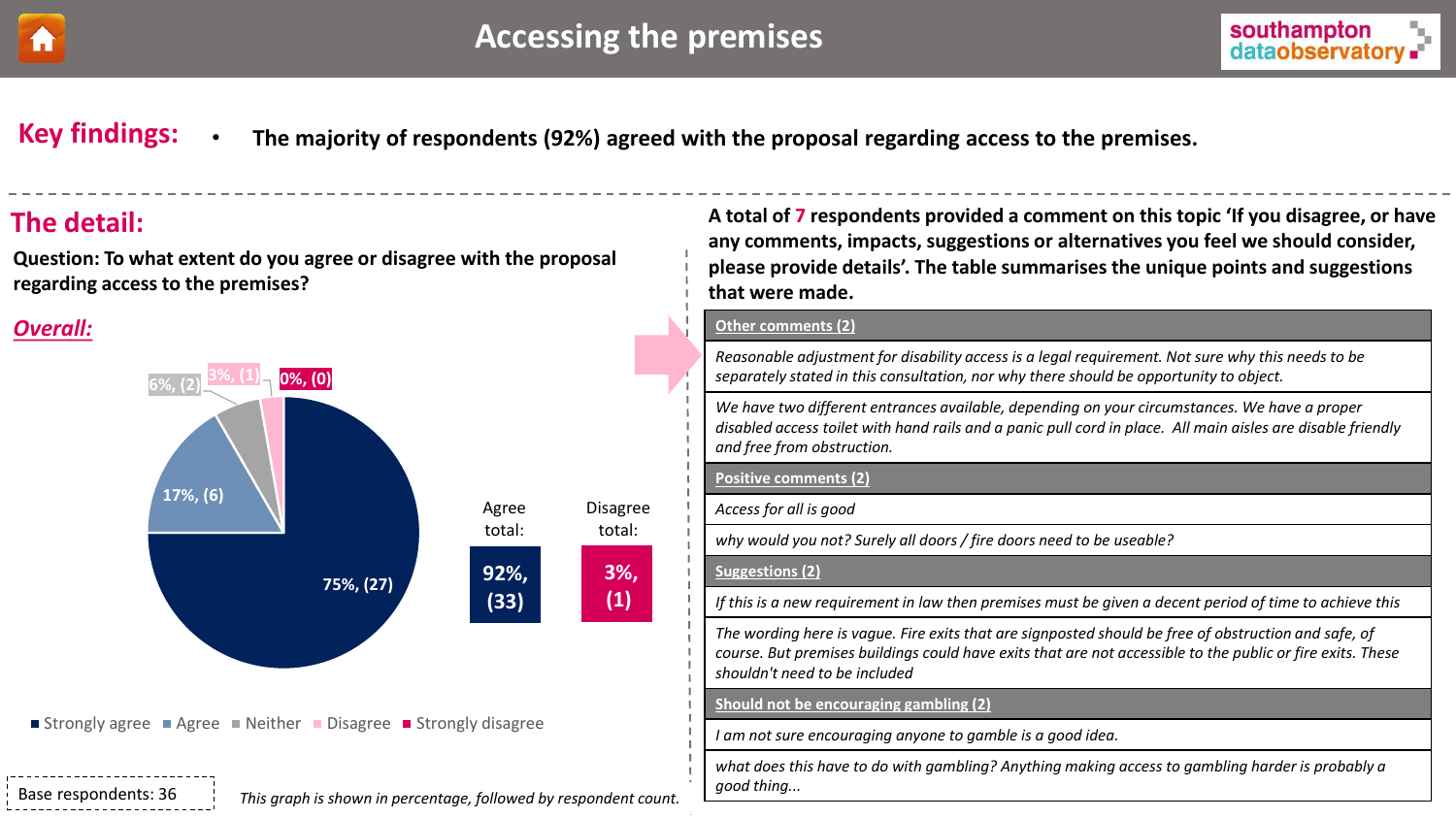<span id="page-19-0"></span>



**Key findings:** • **The majority of respondents (92%) agreed with the proposal regarding access to the premises.** 

**Question: To what extent do you agree or disagree with the proposal regarding access to the premises?**

## *Overall:*



Strongly agree Agree Neither Disagree Strongly disagree

Base respondents: 36

*This graph is shown in percentage, followed by respondent count.*

**The detail: A total of 7 respondents provided a comment on this topic 'If you disagree, or have any comments, impacts, suggestions or alternatives you feel we should consider, please provide details'. The table summarises the unique points and suggestions that were made.**

#### **Other comments (2)**

*Reasonable adjustment for disability access is a legal requirement. Not sure why this needs to be separately stated in this consultation, nor why there should be opportunity to object.*

*We have two different entrances available, depending on your circumstances. We have a proper disabled access toilet with hand rails and a panic pull cord in place. All main aisles are disable friendly and free from obstruction.*

#### **Positive comments (2)**

*Access for all is good* 

*why would you not? Surely all doors / fire doors need to be useable?*

#### **Suggestions (2)**

*If this is a new requirement in law then premises must be given a decent period of time to achieve this*

*The wording here is vague. Fire exits that are signposted should be free of obstruction and safe, of course. But premises buildings could have exits that are not accessible to the public or fire exits. These shouldn't need to be included*

#### **Should not be encouraging gambling (2)**

*I am not sure encouraging anyone to gamble is a good idea.*

*what does this have to do with gambling? Anything making access to gambling harder is probably a good thing...*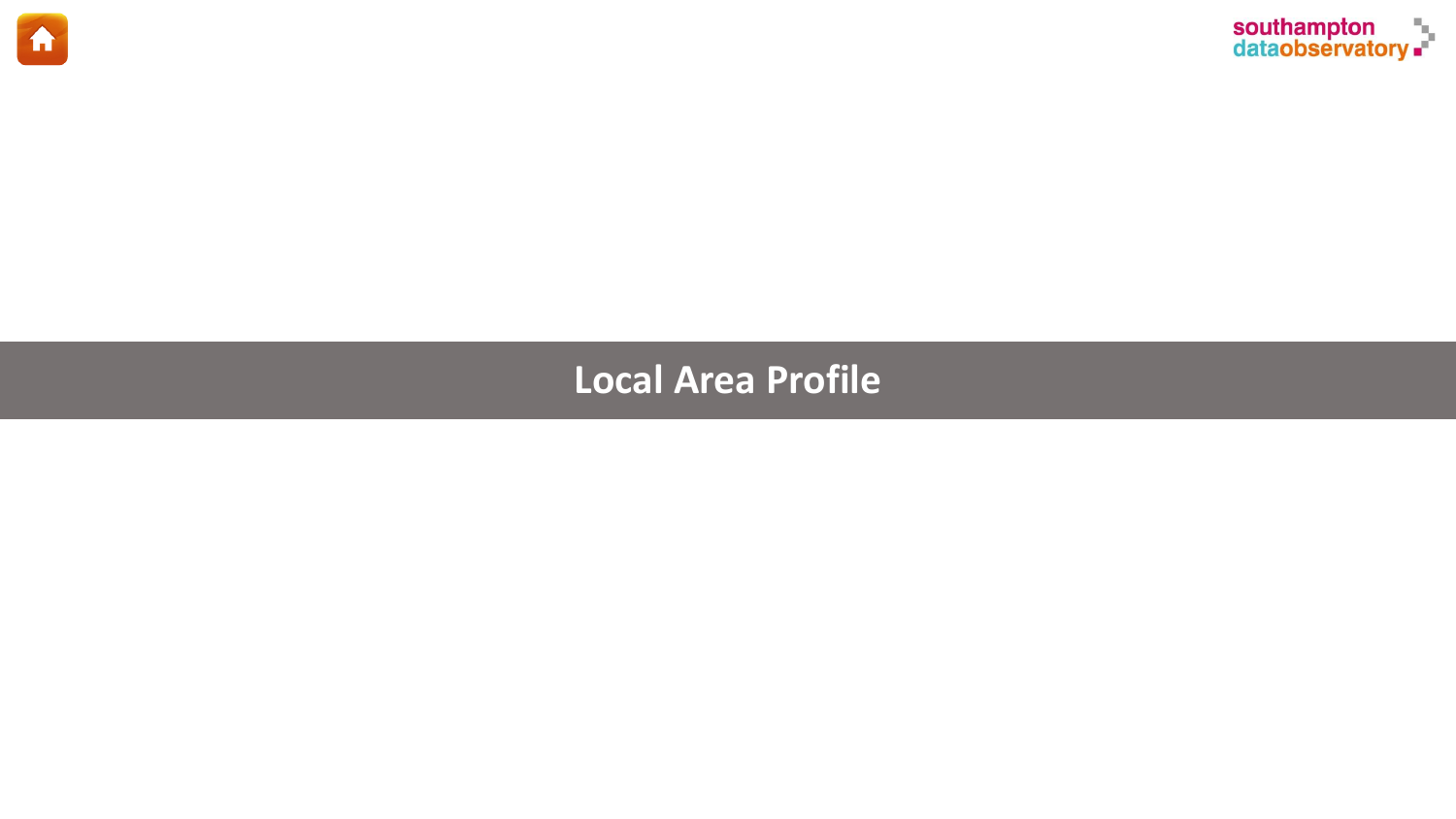<span id="page-20-0"></span>



# **Local Area Profile**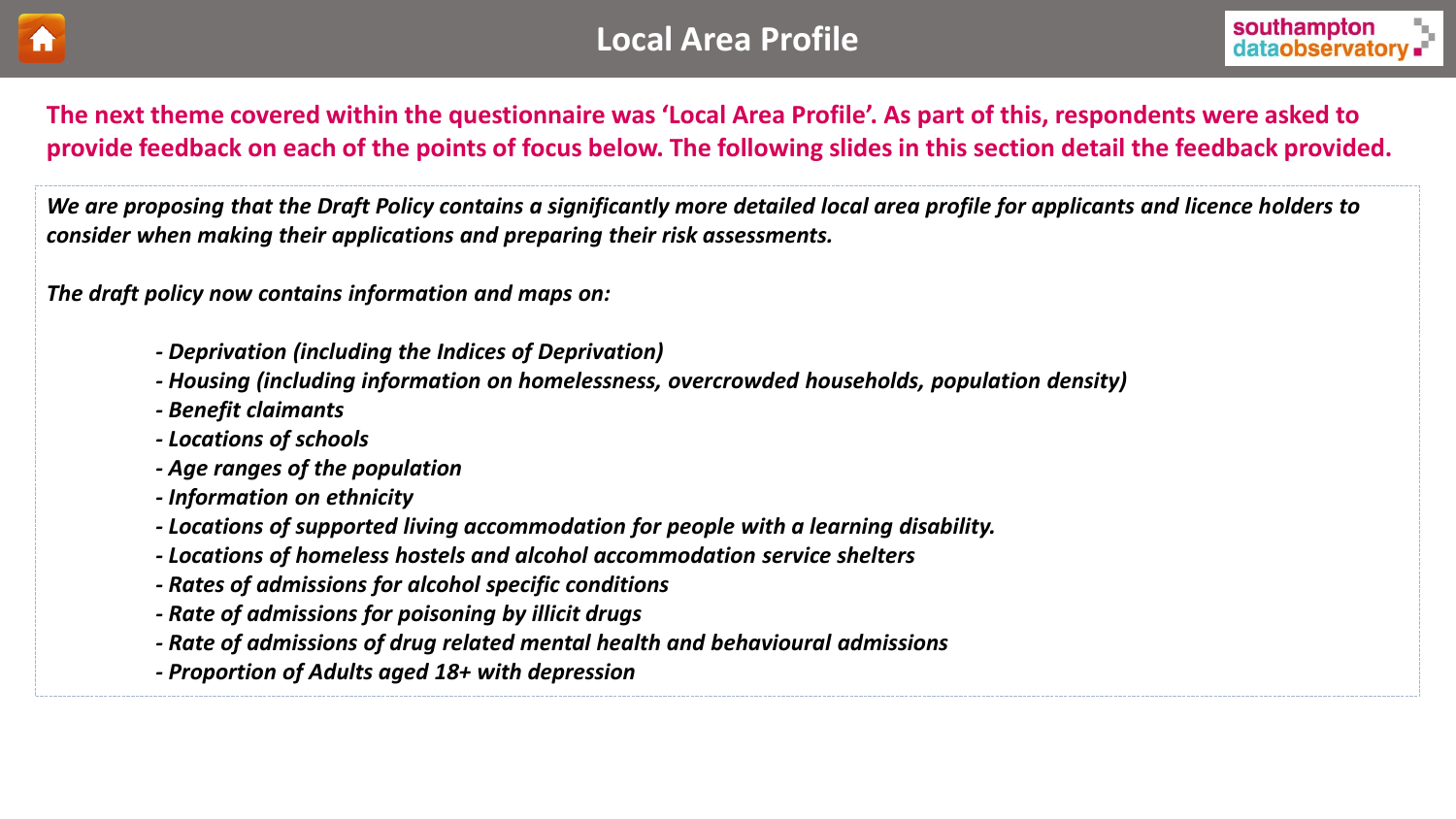



**The next theme covered within the questionnaire was 'Local Area Profile'. As part of this, respondents were asked to provide feedback on each of the points of focus below. The following slides in this section detail the feedback provided.** 

*We are proposing that the Draft Policy contains a significantly more detailed local area profile for applicants and licence holders to consider when making their applications and preparing their risk assessments.*

*The draft policy now contains information and maps on:*

- *- Deprivation (including the Indices of Deprivation)*
- *- Housing (including information on homelessness, overcrowded households, population density)*
- *- Benefit claimants*
- *- Locations of schools*
- *- Age ranges of the population*
- *- Information on ethnicity*
- *- Locations of supported living accommodation for people with a learning disability.*
- *- Locations of homeless hostels and alcohol accommodation service shelters*
- *- Rates of admissions for alcohol specific conditions*
- *- Rate of admissions for poisoning by illicit drugs*
- *- Rate of admissions of drug related mental health and behavioural admissions*
- *- Proportion of Adults aged 18+ with depression*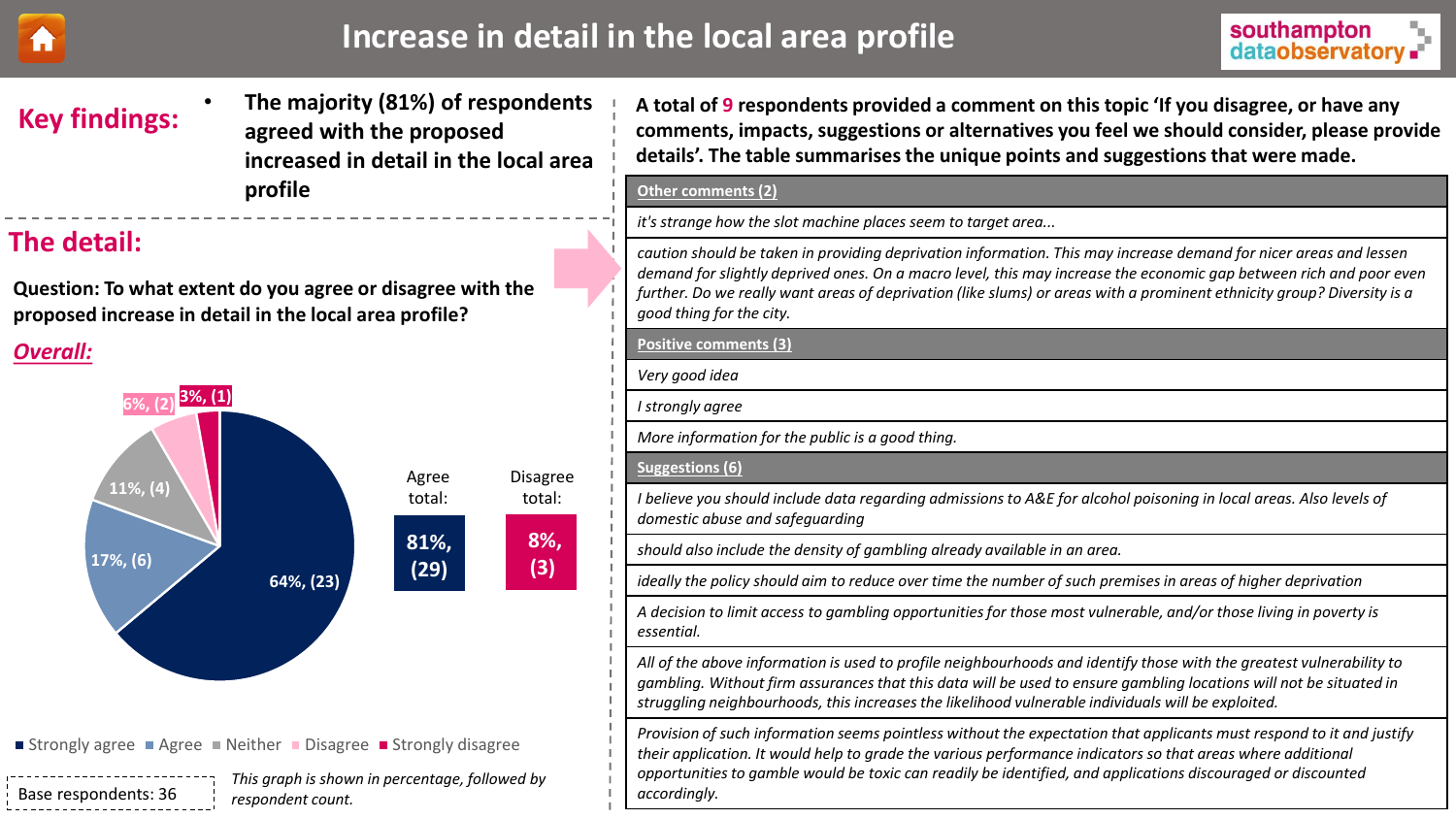<span id="page-22-0"></span>

# Increase in detail in the local area profile **Interval and Southampton**



# **Key findings:**

• **The majority (81%) of respondents agreed with the proposed increased in detail in the local area profile**

## **The detail:**

**Question: To what extent do you agree or disagree with the proposed increase in detail in the local area profile?**

## *Overall:*



■ Strongly agree ■ Agree ■ Neither ■ Disagree ■ Strongly disagree

Base respondents: 36 *This graph is shown in percentage, followed by respondent count.*

**A total of 9 respondents provided a comment on this topic 'If you disagree, or have any comments, impacts, suggestions or alternatives you feel we should consider, please provide details'. The table summarises the unique points and suggestions that were made.**

#### **Other comments (2)**

*it's strange how the slot machine places seem to target area...*

*caution should be taken in providing deprivation information. This may increase demand for nicer areas and lessen demand for slightly deprived ones. On a macro level, this may increase the economic gap between rich and poor even further. Do we really want areas of deprivation (like slums) or areas with a prominent ethnicity group? Diversity is a good thing for the city.*

## **Positive comments (3)** *Very good idea I strongly agree More information for the public is a good thing.*  **Suggestions (6)** *I believe you should include data regarding admissions to A&E for alcohol poisoning in local areas. Also levels of domestic abuse and safeguarding should also include the density of gambling already available in an area. ideally the policy should aim to reduce over time the number of such premises in areas of higher deprivation*

*A decision to limit access to gambling opportunities for those most vulnerable, and/or those living in poverty is essential.*

*All of the above information is used to profile neighbourhoods and identify those with the greatest vulnerability to gambling. Without firm assurances that this data will be used to ensure gambling locations will not be situated in struggling neighbourhoods, this increases the likelihood vulnerable individuals will be exploited.*

*Provision of such information seems pointless without the expectation that applicants must respond to it and justify their application. It would help to grade the various performance indicators so that areas where additional opportunities to gamble would be toxic can readily be identified, and applications discouraged or discounted accordingly.*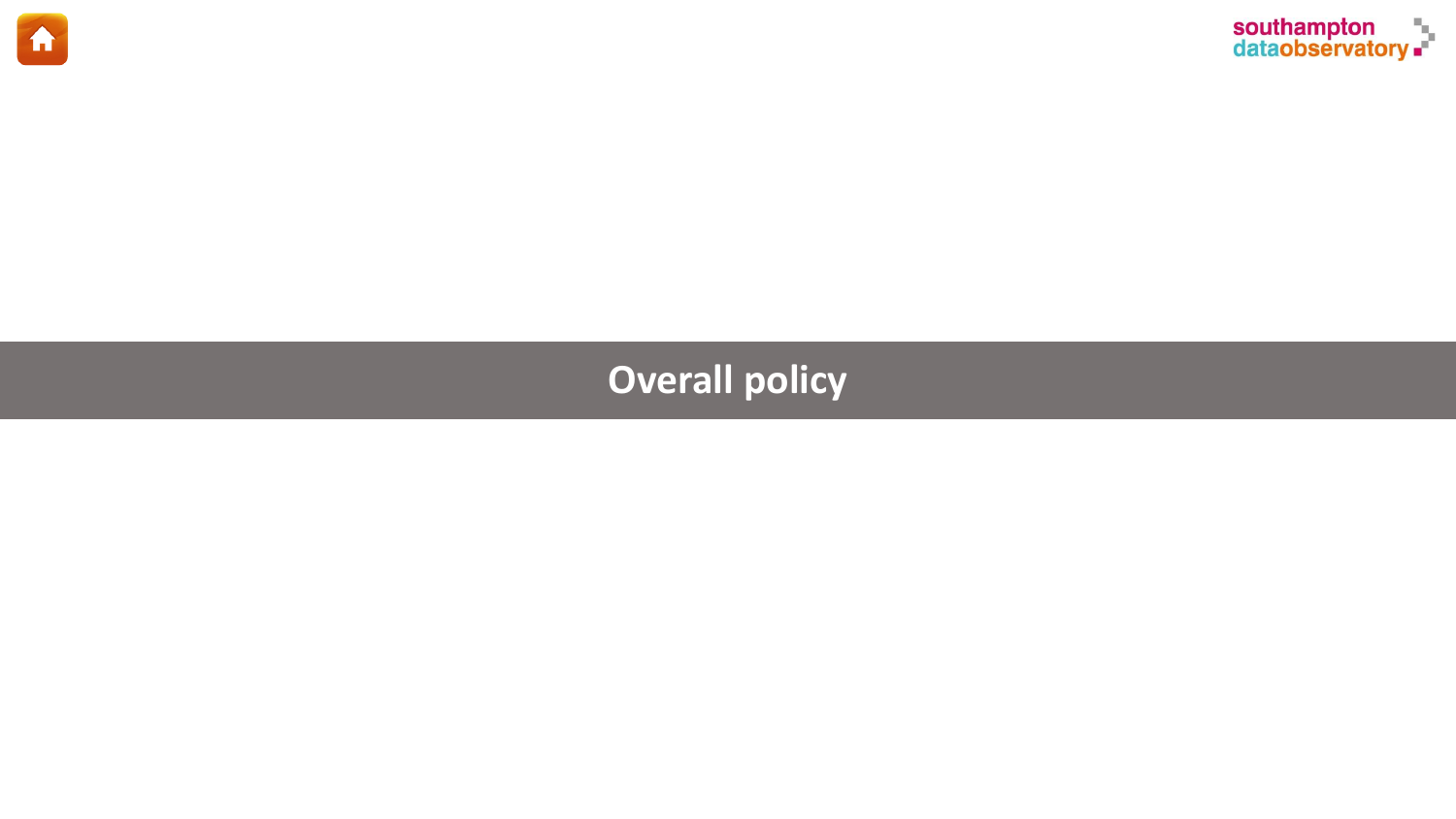<span id="page-23-0"></span>



# **Overall policy**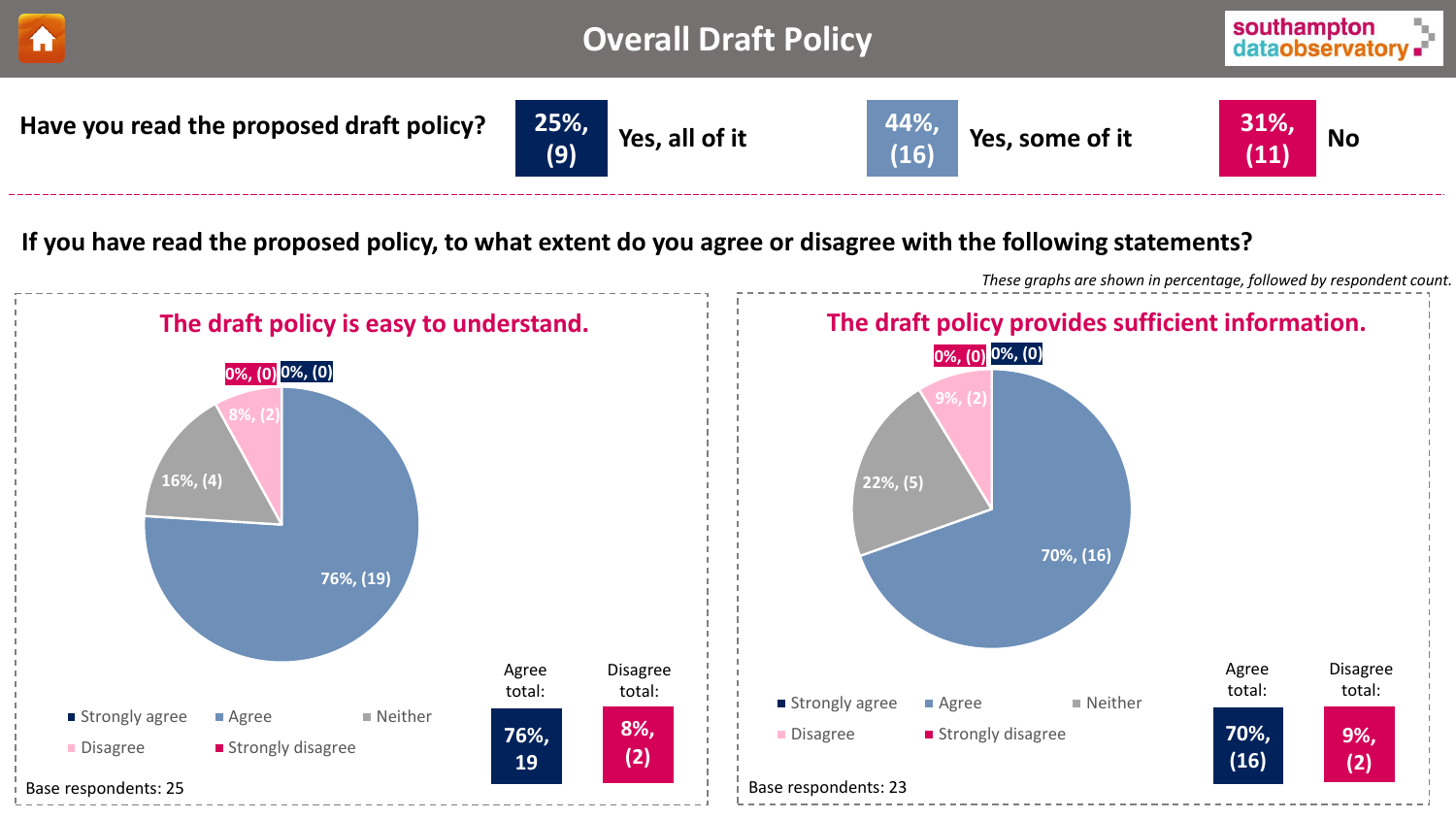<span id="page-24-0"></span>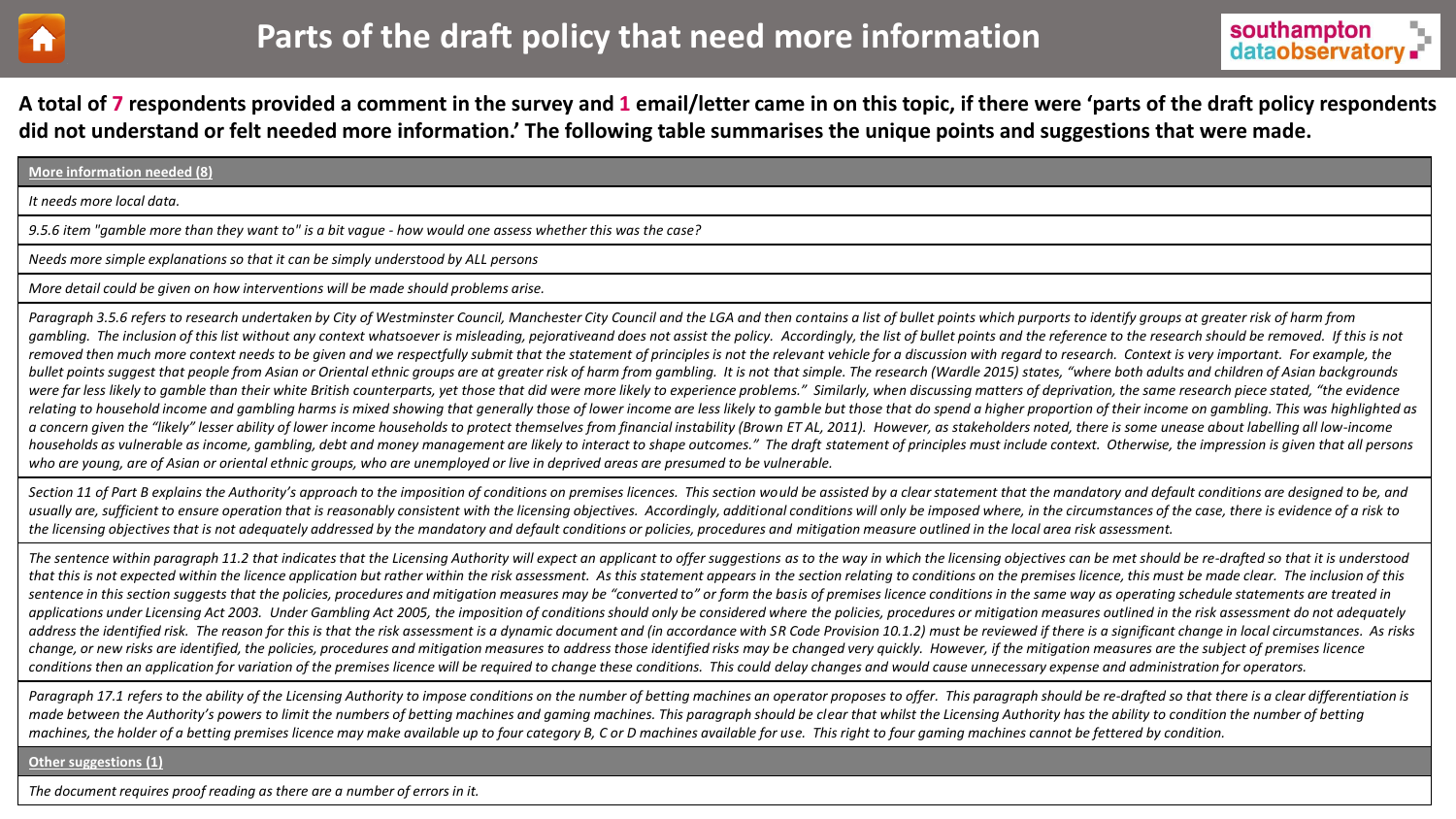<span id="page-25-0"></span>



**A total of 7 respondents provided a comment in the survey and 1 email/letter came in on this topic, if there were 'parts of the draft policy respondents did not understand or felt needed more information.' The following table summarises the unique points and suggestions that were made.** 

#### **More information needed (8)**

*It needs more local data.*

*9.5.6 item "gamble more than they want to" is a bit vague - how would one assess whether this was the case?*

*Needs more simple explanations so that it can be simply understood by ALL persons*

*More detail could be given on how interventions will be made should problems arise.*

Paragraph 3.5.6 refers to research undertaken by City of Westminster Council, Manchester City Council and the LGA and then contains a list of bullet points which purports to identify groups at greater risk of harm from gambling. The inclusion of this list without any context whatsoever is misleading, pejorativeand does not assist the policy. Accordingly, the list of bullet points and the reference to the research should be removed. If th removed then much more context needs to be given and we respectfully submit that the statement of principles is not the relevant vehicle for a discussion with regard to research. Context is very important. For example, the bullet points suggest that people from Asian or Oriental ethnic groups are at greater risk of harm from gambling. It is not that simple. The research (Wardle 2015) states, "where both adults and children of Asian backgroun were far less likely to gamble than their white British counterparts, yet those that did were more likely to experience problems." Similarly, when discussing matters of deprivation, the same research piece stated, "the evi relating to household income and gambling harms is mixed showing that generally those of lower income are less likely to gamble but those that do spend a higher proportion of their income on gambling. This was highlighted a concern given the "likely" lesser ability of lower income households to protect themselves from financial instability (Brown ET AL, 2011). However, as stakeholders noted, there is some unease about labelling all low-inco households as vulnerable as income, gambling, debt and money management are likely to interact to shape outcomes." The draft statement of principles must include context. Otherwise, the impression is given that all persons *who are young, are of Asian or oriental ethnic groups, who are unemployed or live in deprived areas are presumed to be vulnerable.* 

Section 11 of Part B explains the Authority's approach to the imposition of conditions on premises licences. This section would be assisted by a clear statement that the mandatory and default conditions are designed to be, usually are, sufficient to ensure operation that is reasonably consistent with the licensing objectives. Accordingly, additional conditions will only be imposed where, in the circumstances of the case, there is evidence of *the licensing objectives that is not adequately addressed by the mandatory and default conditions or policies, procedures and mitigation measure outlined in the local area risk assessment.* 

The sentence within paragraph 11.2 that indicates that the Licensing Authority will expect an applicant to offer suggestions as to the way in which the licensing objectives can be met should be re-drafted so that it is und that this is not expected within the licence application but rather within the risk assessment. As this statement appears in the section relating to conditions on the premises licence, this must be made clear. The inclusio sentence in this section suggests that the policies, procedures and mitigation measures may be "converted to" or form the basis of premises licence conditions in the same way as operating schedule statements are treated in applications under Licensing Act 2003. Under Gambling Act 2005, the imposition of conditions should only be considered where the policies, procedures or mitigation measures outlined in the risk assessment do not adequately address the identified risk. The reason for this is that the risk assessment is a dynamic document and (in accordance with SR Code Provision 10.1.2) must be reviewed if there is a significant change in local circumstances. change, or new risks are identified, the policies, procedures and mitigation measures to address those identified risks may be changed very quickly. However, if the mitigation measures are the subject of premises licence conditions then an application for variation of the premises licence will be required to change these conditions. This could delay changes and would cause unnecessary expense and administration for operators.

Paragraph 17.1 refers to the ability of the Licensing Authority to impose conditions on the number of betting machines an operator proposes to offer. This paragraph should be re-drafted so that there is a clear differentia made between the Authority's powers to limit the numbers of betting machines and gaming machines. This paragraph should be clear that whilst the Licensing Authority has the ability to condition the number of betting *machines, the holder of a betting premises licence may make available up to four category B, C or D machines available for use. This right to four gaming machines cannot be fettered by condition.*

#### **Other suggestions (1)**

*The document requires proof reading as there are a number of errors in it.*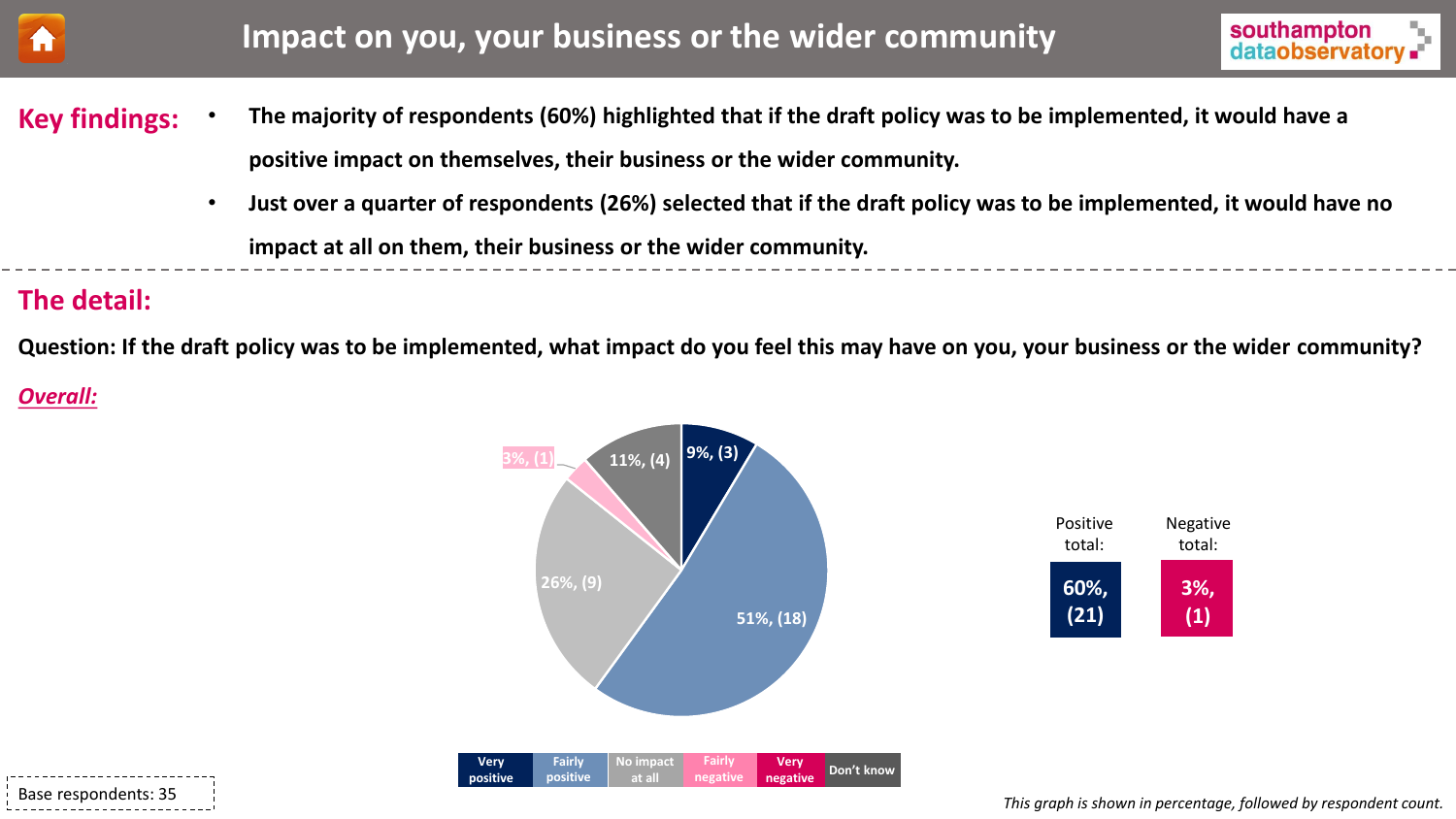<span id="page-26-0"></span>



- **The majority of respondents (60%) highlighted that if the draft policy was to be implemented, it would have a positive impact on themselves, their business or the wider community. Key findings:** 
	- **Just over a quarter of respondents (26%) selected that if the draft policy was to be implemented, it would have no impact at all on them, their business or the wider community.**

## **The detail:**

**Question: If the draft policy was to be implemented, what impact do you feel this may have on you, your business or the wider community?**

## *Overall:*





Negative total:

> **3%, (1)**

**60%, (21)**

Positive total: